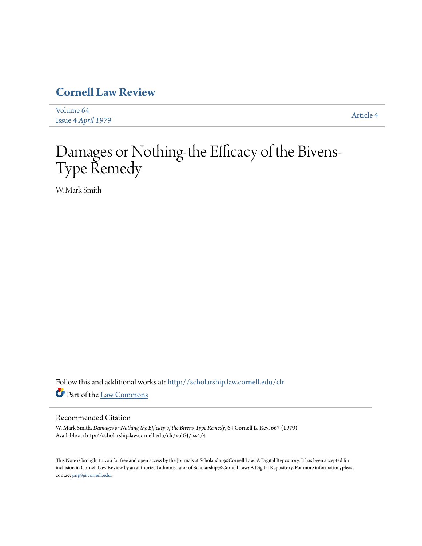# **[Cornell Law Review](http://scholarship.law.cornell.edu/clr?utm_source=scholarship.law.cornell.edu%2Fclr%2Fvol64%2Fiss4%2F4&utm_medium=PDF&utm_campaign=PDFCoverPages)**

| Volume 64          | Article 4 |
|--------------------|-----------|
| Issue 4 April 1979 |           |

# Damages or Nothing-the Efficacy of the Bivens-Type Remedy

W. Mark Smith

Follow this and additional works at: [http://scholarship.law.cornell.edu/clr](http://scholarship.law.cornell.edu/clr?utm_source=scholarship.law.cornell.edu%2Fclr%2Fvol64%2Fiss4%2F4&utm_medium=PDF&utm_campaign=PDFCoverPages) Part of the [Law Commons](http://network.bepress.com/hgg/discipline/578?utm_source=scholarship.law.cornell.edu%2Fclr%2Fvol64%2Fiss4%2F4&utm_medium=PDF&utm_campaign=PDFCoverPages)

# Recommended Citation

W. Mark Smith, *Damages or Nothing-the Efficacy of the Bivens-Type Remedy*, 64 Cornell L. Rev. 667 (1979) Available at: http://scholarship.law.cornell.edu/clr/vol64/iss4/4

This Note is brought to you for free and open access by the Journals at Scholarship@Cornell Law: A Digital Repository. It has been accepted for inclusion in Cornell Law Review by an authorized administrator of Scholarship@Cornell Law: A Digital Repository. For more information, please contact [jmp8@cornell.edu.](mailto:jmp8@cornell.edu)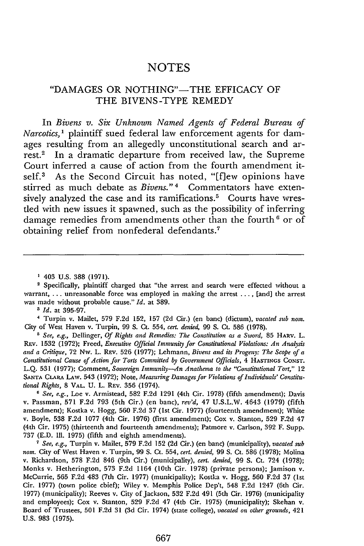# **NOTES**

# "DAMAGES OR NOTHING"-THE EFFICACY OF THE BIVENS-TYPE REMEDY

In *Bivens v. Six Unknown Named Agents of Federal Bureau of Narcotics,1* plaintiff sued federal law enforcement agents for damages resulting from an allegedly unconstitutional search and arrest.<sup>2</sup> In a dramatic departure from received law, the Supreme Court inferred a cause of action from the fourth amendment itself.<sup>3</sup> As the Second Circuit has noted, "[f]ew opinions have stirred as much debate as *Bivens*."<sup>4</sup> Commentators have extensively analyzed the case and its ramifications.<sup>5</sup> Courts have wrestled with new issues it spawned, such as the possibility of inferring damage remedies from amendments other than the fourth<sup>6</sup> or of obtaining relief from nonfederal defendants.'

' *Id.* at 395-97.

<sup>4</sup>Turpin v. Mailet, 579 F.2d 152, 157 **(2d** Cir.) (en banc) (dictum), *vacated sub nor.* City of West Haven v. Turpin, 99 S. Ct. 554, *cert. denied,* 99 S. Ct. 586 (1978).

*5 See, e.g.,* Dellinger, *Of Rights and Remedies: The Constitution as a Sword,* 85 HARV. L. REv. 1532 (1972); Freed, *Executive Official Immunity for Constitutional Violations: An Analysis and a Critique,* **72** Nw. L. REv. **526** (1977); Lehmann, *Bivens and its Progeny: The* Scope *of a Constitutional Cause of Action for Torts Committed by Government Officials,* 4 **HASTINGS CONST.** L.Q. **531** (1977); Comment, *Sovereign Immunity-An Anathema to the "Constitutional Tort,"* 12 **SANTA CLARA** LAW. 543 (1972); Note, *Measuring Damages for Violations of Individuals' Constitutional Rights,* 8 **VAL.** U. L. REv. 356 (1974).

*6 See, e.g.,* Loe v. Armistead, **582** F.2d 1291 (4th Cir. 1978) (fifth amendment); Davis v. Passman, 571 F.2d **793** (5th Cir.) (en banc), *rev'd,* 47 U.S.L.W. 4643 (1979) (fifth amendment); Kostka v. Hogg, 560 F.2d 37 (1st Cir. 1977) (fourteenth amendment); White v. Boyle, 538 F.2d 1077 (4th Cir. 1976) (first amendment); Cox v. Stanton, 529 F.2d 47 (4th Cir. 1975) (thirteenth and fourteenth amendments); Patmore v. Carlson, 392 F. Supp. **737** (E.D. Ill. 1975) (fifth and eighth amendments).

*<sup>7</sup>See, e.g.,* Turpin v. Mailet, 579 F.2d 152 **(2d** Cir.) (en banc) (municipality), *vacated sub nom.* City of West Haven v. Turpin, 99 **S.** Ct. 554, *cert. denied,* 99 **S.** Ct. 586 (1978); Molina v. Richardson, 578 F.2d 846 (9th Cir.) (municipality), *cert. denied,* 99 **S.** Ct. 724 (1978); Monks v. Hetherington, **573** F.2d 1164 (10th Cir. 1978) (private persons); Jamison v. McCurrie, 565 F.2d 483 (7th Cir. 1977) (municipality); Kostka v. Hogg, 560 F.2d 37 (1st Cir. 1977) (town police chief); Wiley v. Memphis Police Dep't, 548 F.2d 1247 (6th Cir. 1977) (municipality); Reeves v. City of Jackson, **532** F.2d 491 (5th Cir. 1976) (municipality and employees); Cox v. Stanton, **529** F.2d 47 (4th Cir. 1975) (municipality); Skehan v. Board of Trustees, 501 F.2d 31 **(3d** Cir. 1974) (state college), *vacated on other grounds,* 421 U.S. 983 (1975).

<sup>&</sup>lt;sup>1</sup> 403 U.S. 388 (1971).<br><sup>2</sup> Specifically, plaintiff charged that "the arrest and search were effected without a warrant, ... unreasonable force was employed in making the arrest .... [and] the arrest was made without probable cause." *Id.* at 389.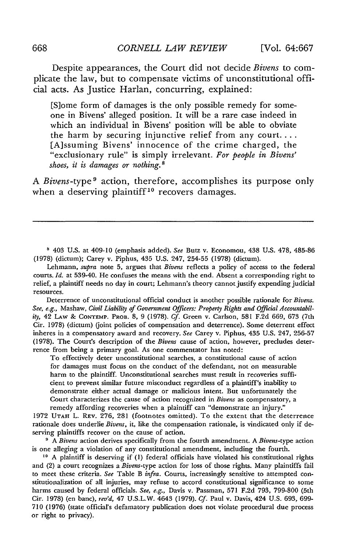Despite appearances, the Court did not decide *Bivens* to complicate the law, but to compensate victims of unconstitutional official acts. As Justice Harlan, concurring, explained:

[S]ome form of damages is the only possible remedy for someone in Bivens' alleged position. It will be a rare case indeed in which an individual in Bivens' position will be able to obviate the harm by securing injunctive relief from any court.... [A]ssuming Bivens' innocence of the crime charged, the "exclusionary rule" is simply irrelevant. *For people in Bivens' shoes, it is damages or nothing.8*

A *Bivens-type9* action, therefore, accomplishes its purpose only when a deserving plaintiff<sup>10</sup> recovers damages.

403 U.S. at 409-10 (emphasis added). *See* Butz v. Economou, 438 U.S. 478, 485-86 (1978) (dictum); Carey v. Piphus, 435 U.S. 247, 254-55 (1978) (dictum).

Lehmann, *supra* note 5, argues that *Bivens* reflects a policy of access to the federal courts. *Id.* at 539-40. He confuses the means with the end. Absent a corresponding right to relief, a plaintiff needs no day in court; Lehmann's theory cannot justify expending judicial resources.

Deterrence of unconstitutional official conduct is another possible rationale for *Bivens. See, e.g.,* Mashaw, *Civil Liability of Government Officers: Property Rights and Official Accountability,* 42 LAw & **CONTEMP.** PROB. 8, 9 (1978). *Cf.* Green v. Carlson, 581 F.2d 669, 673 (7th Cir. 1978) (dictum) (joint policies of compensation and deterrence). Some deterrent effect inheres in a compensatory award and recovery. *See* Carey v. Piphus, 435 U.S. 247, 256-57 (1978). The Court's description of the *Bivens* cause of action, however, precludes deterrence from being a primary goal. As one commentator has noted:

To effectively deter unconstitutional searches, a constitutional cause of action for damages must focus on the conduct of the defendant, not on measurable harm to the plaintiff. Unconstitutional searches must result in recoveries sufficient to prevent similar future misconduct regardless of a plaintiff's inability to demonstrate either actual damage or malicious intent. But unfortunately the Court characterizes the cause of action recognized in *Bivens* as compensatory, a remedy affording recoveries when a plaintiff can "demonstrate an injury."

1972 **UTAH** L. REV. 276, 281 (footnotes omitted). To the extent that the deterrence rationale does underlie *Bivens,* it, like the compensation rationale, is vindicated only if deserving plaintiffs recover on the cause of action.

**I** *A Bivens* action derives specifically from the fourth amendment. A *Bivens-type* action is one alleging a violation of any constitutional amendment, including the fourth.

**10** A plaintiff is deserving if (1) federal officials have violated his constitutional rights and (2) a court recognizes a *Bivens-type* action for loss of those rights. Many plaintiffs fail to meet these criteria. *See* Table B *infra.* Courts, increasingly sensitive to attempted constitutionalization of all injuries, may refuse to accord constitutional significance to some harms caused by federal officials. *See, e.g.,* Davis v. Passman, 571 F.2d 793, 799-800 (5th Cir. 1978) (en banc), *rev'd,* 47 U.S.L.W. 4643 (1979). *Cf.* Paul v. Davis, 424 U.S. 693, 699- 710 (1976) (state official's defamatory publication does not violate procedural due process or right to privacy).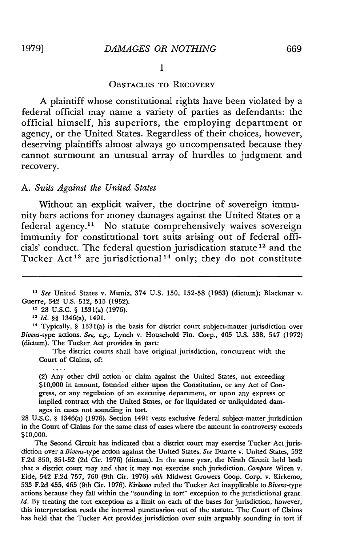**I**

#### OBSTACLES TO RECOVERY

A plaintiff whose constitutional rights have been violated by a federal official may name a variety of parties as defendants: the official himself, his superiors, the employing department or agency, or the United States. Regardless of their choices, however, deserving plaintiffs almost always go uncompensated because they cannot surmount an unusual array of hurdles to judgment and recovery.

#### *A. Suits Against the United States*

Without an explicit waiver, the doctrine of sovereign immunity bars actions for money damages against the United States or a federal agency.<sup>11</sup> No statute comprehensively waives sovereign immunity for constitutional tort suits arising out of federal officials' conduct. The federal question jurisdication statute<sup>12</sup> and the Tucker Act<sup>13</sup> are jurisdictional<sup>14</sup> only; they do not constitute

12 28 U.S.C. § 1331(a) (1976).

**<sup>14</sup>**Typically, § 1331(a) is the basis for district court subject-matter jurisdiction over *Bivens-type* actions. *See, e.g.,* Lynch v. Household Fin. Corp., 405 U.S. 538, 547 (1972) (dictum). The Tucker Act provides in part:

The district courts shall have original jurisdiction, concurrent with the Court of Claims, of:

(2) Any other civil action or claim against the United States, not exceeding \$10,000 in amount, founded either upon the Constitution, or any Act of Congress, or any regulation of an executive department, or upon any express or implied contract with the United States, or for liquidated or unliquidated damages in cases not sounding in tort.

28 U.S.C. § 1346(a) (1976). Section 1491 vests exclusive federal subject-matter jurisdiction in the Court of Claims for the same class of cases where the amount in controversy exceeds \$10,000.

The Second Circuit has indicated that a district court may exercise Tucker Act jurisdiction over a Bivens-type action against the United States. *See* Duarte v. United States, **532** F.2d 850, **851-52** (2d Cir. 1976) (dictum). In the same year, the Ninth Circuit held both that a district court may and that it may not exercise such jurisdiction. *Compare* Wiren v. Eide, 542 F.2d 757, 760 (9th Cir. 1976) *with* Midwest Growers Coop. Corp. v. Kirkemo, **533** F.2d 455, 465 (9th Cir. 1976). *Kirkemo* ruled the Tucker Act inapplicable to Bivens-type actions because they fall within the "sounding in tort" exception to the jurisdictional grant. *Id.* By treating the tort exception as a limit on each of the bases for jurisdiction, however, this interpretation reads the internal punctuation out of the statute. The Court of Claims has held that the Tucker Act provides jurisdiction over suits arguably sounding in tort if

*<sup>11</sup>See* United States v. Muniz, 374 U.S. 150, 152-58 (1963) (dictum); Blackmar v. Guerre, 342 U.S. 512, 515 (1952).

**<sup>13</sup>** *Id. §§* 1346(a), 1491.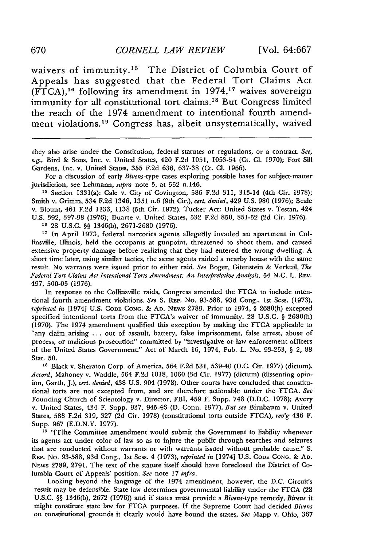waivers of immunity.<sup>15</sup> The District of Columbia Court of Appeals has suggested that the Federal Tort Claims Act (FTCA), 16 following its amendment in 1974,'" waives sovereign immunity for all constitutional tort claims.<sup>18</sup> But Congress limited the reach of the 1974 amendment to intentional fourth amendment violations.<sup>19</sup> Congress has, albeit unsystematically, waived

they also arise under the Constitution, federal statutes or regulations, or a contract. *See, e.g.,* Bird & Sons, Inc. v. United States, 420 F.2d 1051, 1053-54 (Ct. **Cl.** 1970); Fort Sill Gardens, Inc. v. United States, 355 F.2d 636, 637-38 (Ct. **Cl.** 1966).

For a discussion of early *Bivens-type* cases exploring possible bases for subject-matter jurisdiction, see Lehmann, *supra* note 5, at 552 n.146.

<sup>15</sup> Section 1331(a): Cale v. City of Covington, 586 F.2d 311, 313-14 (4th Cir. 1978); Smith v. Grimm, 534 F.2d 1346, 1351 n.6 (9th Cir.), *cert. denied,* 429 U.S. 980 (1976); Beale v. Blount, 461 F.2d 1133, 1138 (5th Cir. 1972). Tucker Act: United States v. Testan, 424 U.S. 392, 397-98 (1976); Duarte v. United States, 532 F.2d 850, 851-52 (2d Cir. 1976).

**<sup>16</sup>**28 U.S.C. *§§* 1346(b), 2671-2680 (1976).

<sup>17</sup> In April 1973, federal narcotics agents allegedly invaded an apartment in Collinsville, Illinois, held the occupants at gunpoint, threatened to shoot them, and caused extensive property damage before realizing that they had entered the wrong dwelling. A short time later, using similar tactics, the same agents raided a nearby house with the same result. No warrants were issued prior to either raid. *See* Boger, Gitenstein & Verkuil, *The Federal Tort Claims Act Intentional Torts Amendment: An Interpretative Analysis,* 54 N.C. L. **REv.** 497, 500-05 (1976).

In response to the Collinsville raids, Congress amended the FTCA to include intentional fourth amendment violations. *See* S. REP. No. 93-588, 93d Cong., 1st Sess. (1973), *reprinted in* [1974] U.S. **CODE CONG.** & **AD.** NEWS 2789. Prior to 1974, § 2680(h) excepted specified intentional torts from the FTCA's waiver of immunity. 28 U.S.C. § 2680(h) (1970). The 1974 amendment qualified this exception by making the FTCA applicable to "any claim arising ... out of assault, battery, false imprisonment, false arrest, abuse of process, or malicious prosecution" committed by "investigative or law enforcement officers of the United States Government." Act of March 16, 1974, Pub. L. No. 93-253, § 2, 88 Stat. 50.

**<sup>18</sup>**Black v. Sheraton Corp. of America, 564 F.2d 531, 539-40 (D.C. Cir. 1977) (dictum). *Accord,* Mahoney v. Waddle, 564 F.2d 1018, 1060 (3d Cir. 1977) (dictum) (dissenting opinion, Garth, J.), *cert. denied,* 438 U.S. 904 (1978). Other courts have concluded that constitutional torts are not excepted from, and are therefore actionable under the FTCA. *See* Founding Church of Scientology v. Director, FBI, 459 F. Supp. 748 (D.D.C. 1978); Avery v. United States, 434 F. Supp. 937, 945-46 (D. Conn. 1977). *But see* Birnbaum v. United States, 588 F.2d 319, 327 (2d Cir. 1978) (constitutional torts outside FTCA), *rev'g* 436 F. Supp. 967 (E.D.N.Y. 1977).

**'9** "[T]he Committee amendment would submit the Government to liability whenever its agents act under color of law so as to injure the public through searches and seizures that are conducted without warrants or with warrants issued without probable cause." S. REP. No. 93-588, 93d Cong., 1st Sess. 4 (1973), *reprinted in* [1974] U.S. **CODE CONG.** & **AD. NEws** 2789, 2791. The text of the statute itself should have foreclosed the District of Columbia Court of Appeals' position. *See* note 17 *infra.*

Looking beyond the language of the 1974 amendment, however, the D.C. Circuit's result may be defensible. State law determines governmental liability under the FTCA (28 U.S.C. §§ 1346(b), 2672 (1976)) and if states must provide a Bivens-type remedy, *Bivens* it might constitute state law for FTCA purposes. If the Supreme Court had decided *Bivens* on constitutional grounds it clearly would have bound the states. *See* Mapp v. Ohio, 367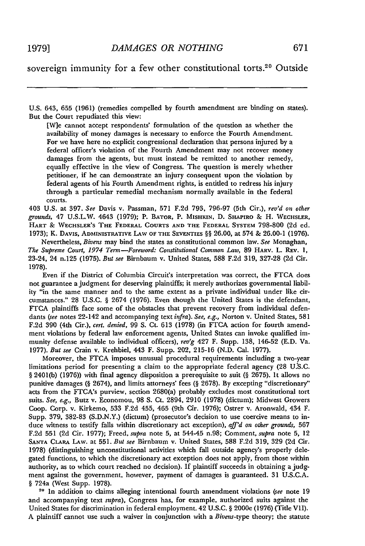U.S. 643, 655 (1961) (remedies compelled by fourth amendment are binding on states). But the Court repudiated this view:

[W]e cannot accept respondents' formulation of the question as whether the availability of money damages is necessary to enforce the Fourth Amendment. For we have here no explicit congressional declaration that persons injured by a federal officer's violation of the Fourth Amendment may not recover money damages from the agents, but must instead be remitted to another remedy, equally effective in the view of Congress. The question is merely whether petitioner, if he can demonstrate an injury consequent upon the violation by federal agents of his Fourth Amendment rights, is entitled to redress his injury through a particular remedial mechanism normally available in the federal courts.

403 U.S. at 397. *See* Davis v. Passman, **571** F.2d 793, **796-97** (5th Cir.), *rev'd on other grounds,* 47 U.S.L.W. 4643 **(1979);** P. BATOR, P. MISHKIN, **D.** SHAPIRO **&** H. WECHSLER, HART **&** WECHSLER'S THE FEDERAL COURTS **AND** THE FEDERAL SYSTEM **798-800** (2d ed. **1973);** K. DAVIS, ADMINISTRATIvE LAW OF THE SEVENTIES §§ 26.00, at 574 & 26.00-1 **(1976).**

Nevertheless, *Bivens* may bind the states as constitutional common law. *See* Monaghan, *The Supreme Court, 1974 Term-Foreword: Constitutional Common Law,* 89 HARV. L. REv. 1, 23-24, 24 n.125 (1975). *But see* Birnbaum v. United States, 588 F.2d 319, 327-28 (2d Cir. 1978).

Even if the District of Columbia Circuit's interpretation was correct, the FTCA does not guarantee a judgment for deserving plaintiffs; it merely authorizes governmental liability "in the same manner and to the same extent as a private individual under like circumstances." 28 U.S.C. § 2674 (1976). Even though the United States is the defendant, FTCA plaintiffs face some of the obstacles that prevent recovery from individual defendants *(see* notes 22-142 and accompanying text *infra). See, e.g.,* Norton v. United States, 581 F.2d 390 (4th Cir.), *cert. denied,* 99 S. Ct. 613 (1978) (in FTCA action for fourth amendment violations by federal law enforcement agents, United States can invoke qualified immunity defense available to individual officers), *rev'g* 427 F. Supp. 138, 146-52 (E.D. Va. 1977). *But see* Crain v. Krehbiel, 443 F. Supp. 202, 215-16 (N.D. Cal. 1977).

Moreover, the FTCA imposes unusual procedural requirements including a two-year limitations period for presenting a claim to the appropriate federal agency (28 US.C. § 2401(b) (1976)) with final agency disposition a prerequisite to suit (§ 2675). It allows no punitive damages (§ 2674), and limits attorneys' fees (§ 2678). By excepting "discretionary" acts from the FTCA's purview, section 2680(a) probably excludes most constitutional tort suits. *See, e.g.,* Butz v. Economou, 98 **S.** Ct. 2894, 2910 (1978) (dictum); Midwest Growers Coop. Corp. v. Kirkemo, 533 F.2d 455, 465 (9th Cir. 1976); Ostrer v. Aronwald, 434 F. Supp. 379, 382-83 (S.D.N.Y.) (dictum) (prosecutor's decision to use coercive means to induce witness to testify falls within discretionary act exception), *aff'd on other grounds,* 567 F.2d 551 (2d Cir. 1977); Freed, *supra* note 5, at 544-45 n.98; Comment, *supra* note 5, 12 SANTA CLARA LAW. at 551. *But see* Birnbaum v. United States, 588 F.2d 319, 329 (2d Cir. 1978) (distinguishing unconstitutional activities which fall outside agency's properly delegated functions, to which the discretionary act exception does not apply, from those within authority, as to which court reached no decision). If plaintiff succeeds in obtaining a judgment against the government, however, payment of damages is guaranteed. **31** U.S.C.A. § 724a (West Supp. 1978).

**<sup>20</sup>**In addition to claims alleging intentional fourth amendment violations *(see* note 19 and accompanying text *supra),* Congress has, for example, authorized suits against the United States for discrimination in federal employment. 42 U.S.C. § 2000e (1976) (Tide VII). A plaintiff cannot use such a waiver in conjunction with a Bivens-type theory; the statute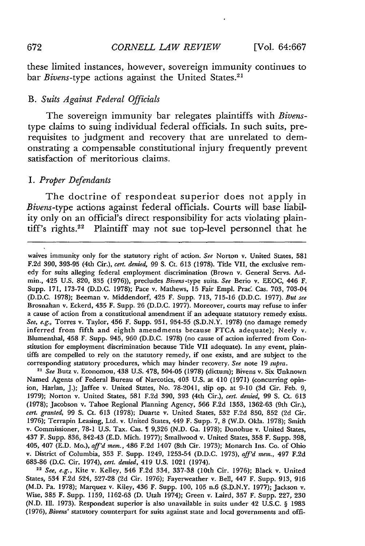these limited instances, however, sovereign immunity continues to bar *Bivens*-type actions against the United States.<sup>21</sup>

#### B. *Suits Against Federal Officials*

The sovereign immunity bar relegates plaintiffs with *Bivens*type claims to suing individual federal officials. In such suits, prerequisites to judgment and recovery that are unrelated to demonstrating a compensable constitutional injury frequently prevent satisfaction of meritorious claims.

#### *1. Proper Defendants*

The doctrine of respondeat superior does not apply in *Bivens-type* actions against federal officials. Courts will base liability only on an official's direct responsibility for acts violating plaintiff's rights.<sup>22</sup> Plaintiff may not sue top-level personnel that he

waives immunity only for the statutory right of action. *See* Norton v. United States, 581 F.2d 390, 393-95 (4th Cir.), *cert. denied,* 99 **S.** Ct. 613 (1978). Title VII, the exclusive remedy for suits alleging federal employment discrimination (Brown v. General Servs. Admin., 425 U.S. 820, 835 (1976)), precludes *Bivens-type* suits. *See* Beio v. EEOC, 446 F. Supp. 171, 173-74 (D.D.C. 1978); Pace v. Mathews, 15 Fair Empl. Prac. Cas. 703, 703-04 (D.D.C. 1978); Beeman v. Middendorf, 425 F. Supp. 713, 715-16 (D.D.C. 1977). *But see* Brosnahan v. Eckerd, 435 F. Supp. 26 (D.D.C. 1977). Moreover, courts may refuse to infer a cause of action from a constitutional amendment if an adequate statutory remedy exists. *See, e.g.,* Torres v. Taylor, 456 F. Supp. 951, 954-55 (S.D.N.Y. 1978) (no damage remedy inferred from fifth and eighth amendments because FTCA adequate); Neely v. Blumenthal, 458 F. Supp. 945, 960 (D.D.C. 1978) (no cause of action inferred from Constitution for employment discrimination because Title VII adequate). In any event, plaintiffs are compelled to rely on the statutory remedy, if one exists, and are subject to the corresponding statutory procedures, which may hinder recovery. *See* note 19 *supra.*

*2 See* Butz v. Economou, 438 U.S. 478, 504-05 (1978) (dictum); Bivens v. Six Unknown Named Agents of Federal Bureau of Narcotics, 403 U.S. at 410 (1971) (concurring opinion, Harlan, J.); Jaffee v. United States, No. 78-2041, slip op. at 9-10 (3d Cir. Feb. 9, 1979); Norton v. United States, 581 F.2d 390, 393 (4th Cir.), *cert. denied,* 99 **S.** Ct. 613 (1978); Jacobson v. Tahoe Regional Planning Agency, 566 F.2d 1353, 1362-63 (9th Cir.), *cert. granted,* 99 S. Ct. 613 (1978); Duarte v. United States, **532** F.2d 850, 852 (2d Cir. 1976); Terrapin Leasing, Ltd. v. United States, 449 F. Supp. 7, 8 (W.D. Okla. 1978); Smith v. Commissioner, 78-1 U.S. Tax. Cas. 9,326 (N.D. Ga. 1978); Donohue v. United States, 437 F. Supp. 836, 842-43 (E.D. Mich. 1977); Smallwood v. United States, 358 F. Supp. 398, 405, 407 (E.D. Mo.), *aff'd mem.,* 486 F.2d 1407 (8th Cir. 1973); Monarch Ins. Co. of Ohio v. District of Columbia, 353 F. Supp. 1249, 1253-54 (D.D.C. 1973), *aff'd mem.,* 497 F.2d 683-86 (D.C. Cir. 1974), *cert. denied,* 419 U.S. 1021 (1974).

<sup>22</sup>*See, e.g.,* Kite v. Kelley, 546 F.2d 334, 337-38 (10th Cir. 1976); Black v. United States, 534 F.2d 524, 527-28 (2d Cir. 1976); Fayerweather v. Bell, 447 F. Supp. 913, 916 (M.D. Pa. 1978); Marquez v. Kiley, 436 F. Supp. 100, 105 n.6 (S.D.N.Y. 1977); Jackson v. Wise, 385 F. Supp. 1159, 1162-63 (D. Utah 1974); Green v. Laird, 357 F. Supp. 227, 230 (N.D. Il. 1973). Respondeat superior is also unavailable in suits under 42 U.S.C. § 1983 **(1976),** *Bivens'* statutory counterpart for suits against state and local governments and offi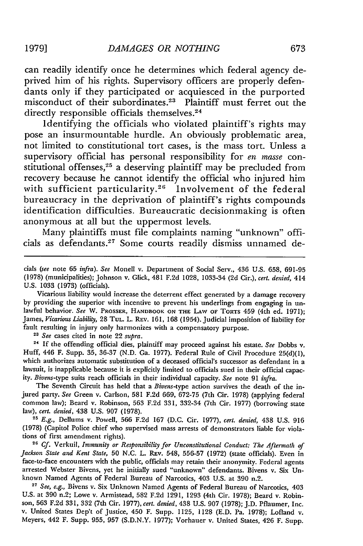can readily identify once he determines which federal agency deprived him of his rights. Supervisory officers are properly defendants only if they participated or acquiesced in the purported misconduct of their subordinates.<sup>23</sup> Plaintiff must ferret out the directly responsible officials themselves.<sup>24</sup>

Identifying the officials who violated plaintiff's rights may pose an insurmountable hurdle. An obviously problematic area, not limited to constitutional tort cases, is the mass tort. Unless a supervisory official has personal responsibility for *en masse* constitutional offenses,<sup>25</sup> a deserving plaintiff may be precluded from recovery because he cannot identify the official who injured him with sufficient particularity.<sup>26</sup> Involvement of the federal bureaucracy in the deprivation of plaintiff's rights compounds identification difficulties. Bureaucratic decisionmaking is often anonymous at all but the uppermost levels.

Many plaintiffs must file complaints naming "unknown" officials as defendants.<sup>27</sup> Some courts readily dismiss unnamed de-

cials *(see* note 65 *infra). See* Monell v. Department of Social Serv., 436 U.S. 658, 691-95 (1978) (municipalities); Johnson v. Glick, 481 F.2d 1028, 1033-34 (2d Cir.), *cert. denied,* 414 U.S. 1033 (1973) (officials).

Vicarious liability would increase the deterrent effect generated by a damage recovery by providing the superior with incentive to prevent his underlings from engaging in unlawful behavior. *See* W. PROSSER, HANDBOOK **ON THE** LAW **OF** TORTS 459 (4th ed. 1971); James, *Vicarious Liability,* 28 **TUL.** L. REv. 161, 168 (1954). Judicial imposition of liability for fault resulting in injury only harmonizes with a compensatory purpose.

**23** *See* cases cited in note 22 *supra.*

**<sup>24</sup>**If the offending official dies, plaintiff may proceed against his estate. *See* Dobbs v. Huff, 446 F. Supp. 35, 36-37 (N.D. Ga. 1977). Federal Rule of Civil Procedure 25(d)(1), which authorizes automatic substitution of a deceased official's successor as defendant in a lawsuit, is inapplicable because it is explicitly limited to officials sued in their official capacity. *Bivens-type* suits reach officials in their individual capacity. *See* note 91 *infra.*

The Seventh Circuit has held that a *Bivens-type* action survives the death of the injured party. *See* Green v. Carlson, 581 F.2d 669, 672-75 (7th Cir. 1978) (applying federal common law); Beard v. Robinson, 563 F.2d 331, 332-34 (7th Cir. 1977) (borrowing state law), *cert. denied,* 438 U.S. 907 (1978).

**<sup>25</sup>**E.g., Dellums v. Powell, 566 F.2d 167 (D.C. Cir. 1977), *cert. denied,* 438 U.S. 916 (1978) (Capitol Police chief who supervised mass arrests of demonstrators liable for violations of first amendment rights).

**<sup>26</sup>***Cf.* Verkuil, *Immunity or Responsibility for Unconstitutional Conduct: The Aftermath of Jackson State and Kent State,* 50 N.C. L. REv. 548, 556-57 (1972) (state officials). Even in face-to-face encounters with the public, officials may retain their anonymity. Federal agents arrested Webster Bivens, yet he initially sued "unknown" defendants. Bivens v. Six Unknown Named Agents of Federal Bureau of Narcotics, 403 U.S. at 390 n.2.

**<sup>27</sup>***See, e.g.,* Bivens v. Six Unknown Named Agents of Federal Bureau of Narcotics, 403 U.S. at 390 n.2; Lowe v. Armistead, 582 F.2d 1291, 1293 (4th Cir. 1978); Beard v. Robinson, 563 F.2d 331, 332 (7th Cir. 1977), *cert. denied,* 438 U.S. 907 (1978); J.D. Pflaumer, Inc. v. United States Dep't of Justice, 450 F. Supp. 1125, 1128 (E.D. Pa. 1978); Lofland v. Meyers, 442 F. Supp. 955, 957 (S.D.N.Y. 1977); Vorhauer v. United States, 426 F. Supp.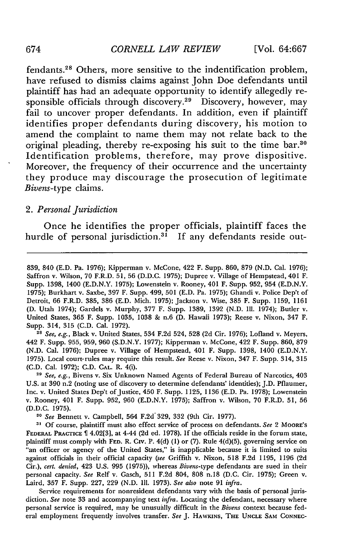fendants.<sup>28</sup> Others, more sensitive to the indentification problem, have refused to dismiss claims against John Doe defendants until plaintiff has had an adequate opportunity to identify allegedly responsible officials through discovery.<sup>29</sup> Discovery, however, may fail to uncover proper defendants. In addition, even if plaintiff identifies proper defendants during discovery, his motion to amend the complaint to name them may not relate back to the original pleading, thereby re-exposing his suit to the time bar.30 Identification problems, therefore, may prove dispositive. Moreover, the frequency of their occurrence and the uncertainty they produce may discourage the prosecution of legitimate *Bivens-type* claims.

#### *2. Personal Jurisdiction*

Once he identifies the proper officials, plaintiff faces the hurdle of personal jurisdiction.<sup>31</sup> If any defendants reside out-

<sup>28</sup>*See, e.g.,* Black v. United States, 534 F.2d 524, 528 (2d Cir. 1976); Lofland v. Meyers, 442 F. Supp. 955, 959, 960 (S.D.N.Y. 1977); Kipperman v. McCone, 422 F. Supp. 860, 879 (N.D. Cal. 1976); Dupree v. Village of Hempstead, 401 F. Supp. 1398, 1400 (E.D.N.Y. 1975). Local court. rules may require this result. *See* Reese v. Nixon, 347 F. Supp. 314, 315 (C.D. Cal. 1972); C.D. **CAL.** R. 4(i).

**<sup>29</sup>***See, e.g.,* Bivens v. Six Unknown Named Agents of Federal Bureau of Narcotics, 403 U.S. at 390 n.2 (noting use of discovery to determine defendants' identities); J.D. Pflaumer, Inc. v. United States Dep't of Justice, 450 F. Supp. 1125, 1136 (E.D. Pa. 1978); Lowenstein v. Rooney, 401 F. Supp. 952, 960 (E.D.N.Y. 1975); Saffron v. Wilson, 70 F.R.D. 51, 56 (D.D.C. 1975).

*<sup>30</sup>See* Bennett v. Campbell, 564 F.2d 329, 332 (9th Cir. 1977).

**<sup>31</sup>**Of course, plaintiff must also effect service of process on defendants. *See* 2 MOORE'S FEDERAL PRACrICE 4.02[3], at 4-44 (2d ed. 1978). If the officials reside in the forum state, plaintiff must comply with **FED.** R. Civ. P. 4(d) (1) or (7). Rule 4(d)(5), governing service on "an officer or agency of the United States," is inapplicable because it is limited to suits against officials in their official capacity *(see* Griffith v. Nixon, 518 F.2d 1195, 1196 (2d Cir.), *cert. denied,* 423 U.S. 995 (1975)), whereas Bivens-type defendants are sued in their personal capacity. *See* ReIf v. Gasch, 511 F.2d 804, 808 n.18 (D.C. Cir. 1975); Green v. Laird, 357 F. Supp. 227, 229 (N.D. Ill. 1973). *See also* note 91 *infra.*

Service requirements for nonresident defendants vary with the basis of personal jurisdiction. *See* note 33 and accompanying text *infra.* Locating the defendant, necessary where personal service is required, may be unusually difficult in the *Bivens* context because federal employment frequently involves transfer. *See* J. **HAWKINS,** THE **UNCLE SAM! CONNEC-**

<sup>839, 840 (</sup>E.D. Pa. 1976); Kipperman v. McCone, 422 F. Supp. 860, 879 (N.D. Cal. 1976); Saffron v. Wilson, 70 F.R.D. 51, 56 (D.D.C. 1975); Dupree v. Village of Hempstead, 401 F. Supp. 1398, 1400 (E.D.N.Y. 1975); Lowenstein v. Rooney, 401 F. Supp. 952, 954 (E.D.N.Y. 1975); Burkhart v. Saxbe, 397 F. Supp. 499, 501 (E.D. Pa. 1975); Ghandi v. Police Dep't of Detroit, 66 F.R.D. 385, 386 (E.D. Mich. 1975); Jackson v. Wise, 385 F. Supp. 1159, 1161 (D. Utah 1974); Gardels v. Murphy, 377 F. Supp. 1389, 1392 (N.D. Ill. 1974); Butler v. United States, 365 F. Supp. 1035, 1038 & n.6 (D. Hawaii 1973); Reese v. Nixon, 347 F. Supp. 314, 315 (C.D. Cal. 1972).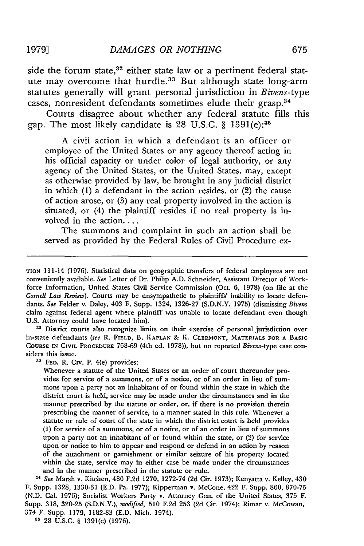side the forum state,<sup>32</sup> either state law or a pertinent federal statute may overcome that hurdle.<sup>33</sup> But although state long-arm statutes generally will grant personal jurisdiction in *Bivens-type* cases, nonresident defendants sometimes elude their grasp.<sup>34</sup>

Courts disagree about whether any federal statute fills this gap. The most likely candidate is 28 U.S.C. § 1391(e):<sup>35</sup>

A civil action in which a defendant is an officer or employee of the United States or any agency thereof acting in his official capacity or under color of legal authority, or any agency of the United States, or the United States, may, except as otherwise provided by law, be brought in any judicial district in which (1) a defendant in the action resides, or (2) the cause of action arose, or (3) any real property involved in the action is situated, or (4) the plaintiff resides if no real property is involved in the action....

The summons and complaint in such an action shall be served as provided by the Federal Rules of Civil Procedure ex-

<sup>32</sup> District courts also recognize limits on their exercise of personal jurisdiction over in-state defendants *(see* R. **FIELD,** B. **KAPLAN &** K. CLERMONT, MATERIALS FOR **A BASIC COURSE IN CIVIL PROCEDURE** 768-69 (4th ed. 1978)), but no reported Bivens-type case considers this issue.

**33 FED.** R. Civ. P. 4(e) provides:

Whenever a statute of the United States or an order of court thereunder provides for service of a summons, or of a notice, or of an order in lieu of summons upon a party not an inhabitant of or found within the state in which the district court is held, service may be made under the circumstances and in the manner prescribed by the statute or order, or, if there is no provision therein prescribing the manner of service, in a manner stated in this rule. Whenever a statute or rule of court of the state in which the district court is held provides **(1)** for service of a summons, or of a notice, or of an order in lieu of summons upon a party not an inhabitant of or found within the state, or (2) for service upon or notice to him to appear and respond or defend in an action by reason of the attachment or garnishment or similar seizure of his property located within the state, service may in either case be made under the circumstances and in the manner prescribed in the statute or rule.

*U See* Marsh v. Kitchen, 480 F.2d 1270, 1272-74 (2d Cir. 1973); Kenyatta v. Kelley, 430 F. Supp. 1328, 1330-31 (E.D. Pa. 1977); Kipperman v. McCone, 422 F. Supp. 860, 870-75 (N.D. Cal. 1976); Socialist Workers Party v. Attorney Gen. of the United States, 375 F. Supp. 318, 320-25 (S.D.N.Y.), *modified,* 510 F.2d 253 (2d Cir. 1974); Rimar v. McCowan, 374 F. Supp. 1179, 1182-83 (E.D. Mich. 1974).

**35** 28 U.S.C. § 1391(e) (1976).

TION 111-14 (1976). Statistical data on geographic transfers of federal employees are not conveniently available. *See* Letter of Dr. Philip A.D. Schneider, Assistant Director of Workforce Information, United States Civil Service Commission (Oct. 6, 1978) (on file at the *Cornell Law Review).* Courts may be unsympathetic to plaintiffs' inability to locate defendants. *See* Felder v. Daley, 403 F. Supp. 1324, 1326-27 (S.D.N.Y. 1975) (dismissing *Bivens* claim against federal agent where plaintiff was unable to locate defendant even though U.S. Attorney could have located him).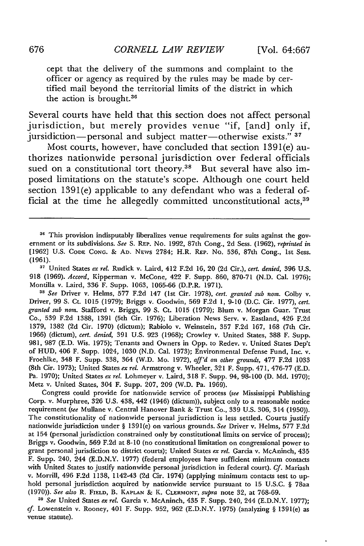cept that the delivery of the summons and complaint to the officer or agency as required by the rules may be made by certified mail beyond the territorial limits of the district in which the action is brought. $36$ 

Several courts have held that this section does not affect personal jurisdiction, but merely provides venue "if, [and] only if, jursidiction-personal and subject matter-otherwise exists." **<sup>37</sup>**

Most courts, however, have concluded that section 1391(e) authorizes nationwide personal jurisdiction over federal officials sued on a constitutional tort theory.<sup>38</sup> But several have also imposed limitations on the statute's scope. Although one court held section 1391(e) applicable to any defendant who was a federal official at the time he allegedly committed unconstitutional acts.<sup>39</sup>

**<sup>37</sup>**United States *ex rel.* Rudick v. Laird, 412 F.2d 16, 20 (2d Cir.), *cert. denied,* 396 U.S. 918 (1969). *Accord,* Kipperman v. McCone, 422 F. Supp. 860, 870-71 (N.D. Cal. 1976); Montilla v. Laird, 336 F. Supp. 1063, 1065-66 (D.P.R. 1971).

*" See* Driver v. Helms, 577 F.2d 147 (1st Cir. 1978), *cert. granted sub nom.* Colby v. Driver, 99 **S.** Ct. 1015 (1979); Briggs v. Goodwin, 569 F.2d **1,** 9-10 (D.C. Cir. 1977), *cert. granted sub norm.* Stafford v. Briggs, 99 **S.** Ct. 1015 (1979); Blum v. Morgan Guar. Trust Co., 539 F.2d 1388, 1391 (5th Cir. 1976); Liberation News Serv. v. Eastland, 426 F.2d 1379, 1382 (2d Cir. 1970) (dictum); Rabiolo v. Weinstein, 357 F.2d 167, 168 (7th Cir. 1966) (dictum), *cert. denied,* 391 U.S. 923 (1968); Crowley v. United States, 388 F. Supp. 981, 987 (E.D. Wis. 1975); Tenants and Owners in Opp. to Redev. v. United States Dep't of HUD, 406 F. Supp. 1024, 1030 (N.D. Cal. 1973); Environmental Defense Fund, Inc. v. Froehlke, 348 F. Supp. 338, 364 (W.D. Mo. 1972), *aff'd on other grounds,* 477 F.2d 1033 (8th Cir. 1973); United States *ex reL* Armstrong v. Wheeler, 321 F. Supp. 471, 476-77 (E.D. Pa. 1970); United States *ex rel.* Lohmeyer v. Laird, 318 F. Supp. 94, 98-100 (D. Md. 1970); Metz v. United States, 304 F. Supp. 207, 209 (W.D. Pa. 1969).

Congress could provide for nationwide service of process *(see* Mississippi Publishing Corp. v. Murphree, 326 U.S. 438, 442 (1946) (dictum)), subject only to a reasonable notice requirement *(see* Mullane v. Central Hanover Bank & Trust Co., 339 U.S. 306, 314 (1950)). The constitutionality of nationwide personal jurisdiction is less settled. Courts justify nationwide jurisdiction under § 1391(e) on various grounds. *See* Driver v. Helms, 577 F.2d at 154 (personal jurisdiction constrained only by constitutional limits on service of process); Briggs v. Goodwin, 569 F.2d at 8-10 (no constitutional limitation on congressional power to grant personal jurisdiction to district courts); United States *ex rel.* Garcia v. McAninch, 435 F. Supp. 240, 244 (E.D.N.Y. 1977) (federal employees have sufficient minimum contacts with United States to justify nationwide personal jurisdiction in federal court). Cf. Mariash v. Morrill, 496 F.2d 1138, 1142-43 (2d Cir. 1974) (applying minimum contacts test to uphold personal jurisdiction acquired by nationwide service pursuant to 15 U.S.C. § 78aa (1970)). *See also* R. **FIELD,** B. **KAPLAN** & K. **CLERMONT,** supra note 32, at 768-69.

*<sup>11</sup>See* United States *ex reL* Garcia v. McAninch, 435 F. Supp. 240, 244 (E.D.N.Y. 1977); *cf.* Lowenstein v. Rooney, 401 F. Supp. 952, 962 (E.D.N.Y. 1975) (analyzing § 1391(e) as venue statute).

<sup>&</sup>lt;sup>36</sup> This provision indisputably liberalizes venue requirements for suits against the government or its subdivisions. *See* S. REP. No. 1992, 87th Cong., 2d Sess. (1962), *reprinted in* [1962] U.S. **CODE CONG.** & **AD.** NEWs 2784; H.R. **REP.** No. 536, 87th Cong., 1st Sess. (1961).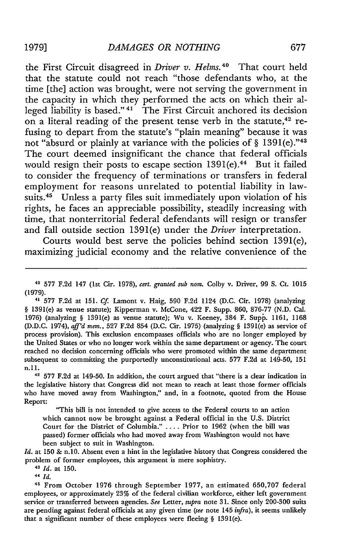the First Circuit disagreed in *Driver v. Helms. 4°* That court held that the statute could not reach "those defendants who, at the time [the] action was brought, were not serving the government in the capacity in which they performed the acts on which their alleged liability is based." **41** The First Circuit anchored its decision on a literal reading of the present tense verb in the statute,<sup>42</sup> refusing to depart from the statute's "plain meaning" because it was not "absurd or plainly at variance with the policies of  $\S$  1391(e)."<sup>43</sup> The court deemed insignificant the chance that federal officials would resign their posts to escape section  $1391(e).44$  But it failed to consider the frequency of terminations or transfers in federal employment for reasons unrelated to potential liability in lawsuits.<sup>45</sup> Unless a party files suit immediately upon violation of his rights, he faces an appreciable possibility, steadily increasing with time, that nonterritorial federal defendants will resign or transfer and fall outside section 1391(e) under the *Driver* interpretation.

Courts would best serve the policies behind section 1391(e), maximizing judicial economy and the relative convenience of the

41 577 F.2d at 151. *Cf* Lamont v. Haig, 590 F.2d 1124 (D.C. Cir. 1978) (analyzing § 1391(e) as venue statute); Kipperman v. McCone, 422 F. Supp. 860, 876-77 (N.D. Cal. 1976) (analyzing § 1391(e) as venue statute); Wu v. Keeney, 384 F. Supp. 1161, 1168 (D.D.C. 1974), *aff'd mem.,* 527 F.2d 854 (D.C. Cir. 1975) (analyzing § 1391(e) as service of process provision). This exclusion encompasses officials who are no longer employed by the United States or who no longer work within the same department or agency. The court reached no decision concerning officials who were promoted within the same department subsequent to committing the purportedly unconstitutional acts. 577 F.2d at 149-50, 151 n.ll.

**<sup>42</sup>**577 F.2d at 149-50. In addition, the court argued that "there is a clear indication in the legislative history that Congress did not mean to reach at least those former officials who have moved away from Washington," and, in a footnote, quoted from the House Report:

"This bill is not intended to give access to the Federal courts to an action which cannot now be brought against a Federal official in the U.S. District Court for the District of Columbia." . ... Prior to 1962 (when the bill was passed) former officials who had moved away from Washington would not have been subject to suit in Washington.

*Id.* at 150 & n.10. Absent even a hint in the legislative history that Congress considered the problem of former employees, this argument is mere sophistry.

**43** *Id.* at **150.**

**<sup>44</sup>***Id.*

**<sup>45</sup>**From October 1976 through September 1977, an estimated 650,707 federal employees, or approximately 23% of the federal civilian workforce, either left government service or transferred between agencies. *See* Letter, *supra* note 31. Since only 200-300 suits are pending against federal officials at any given time *(see* note 145 *infra),* it seems unlikely that a significant number of these employees were fleeing § 1391(e).

**<sup>40</sup>577 F.2d** 147 (lst Cir. 1978), *cert. granted sub nom.* Colby v. Driver, 99 **S.** Ct. 1015 (1979).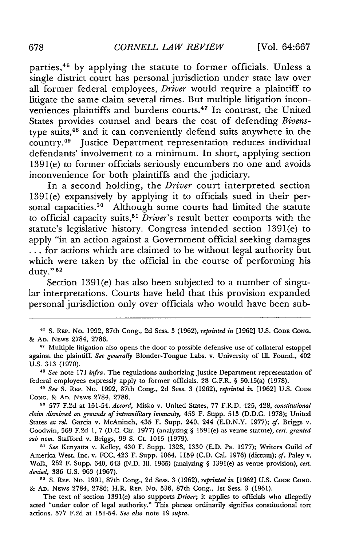parties,<sup>46</sup> by applying the statute to former officials. Unless a single district court has personal jurisdiction under state law over all former federal employees, *Driver* would require a plaintiff to litigate the same claim several times. But multiple litigation inconveniences plaintiffs and burdens courts.<sup>47</sup> In contrast, the United States provides counsel and bears the cost of defending *Bivens*type suits, 48 and it can conveniently defend suits anywhere in the country.49 Justice Department representation reduces individual defendants' involvement to a minimum. In short, applying section 1391(e) to former officials seriously encumbers no one and avoids inconvenience for both plaintiffs and the judiciary.

In a second holding, the *Driver* court interpreted section 1391(e) expansively by applying it to officials sued in their personal capacities.<sup>50</sup> Although some courts had limited the statute to official capacity suits,<sup>5</sup>*Driver's* result better comports with the statute's legislative history. Congress intended section 1391(e) to apply "in an action against a Government official seeking damages **•.** for actions which are claimed to be without legal authority but which were taken by the official in the course of performing his duty." **<sup>52</sup>**

Section 1391(e) has also been subjected to a number of singular interpretations. Courts have held that this provision expanded personal jurisdiction only over officials who would have been sub-

**46 S.** REP. No. 1992, 87th Cong., 2d Sess. 3 (1962), *reprinted in* [1962] U.S. **CODE CONG.** & **AD.** NEws 2784, 2786.

The text of section 1391(e) also supports *Driver;* it applies to officials who allegedly acted "under color of legal authority." This phrase ordinarily signifies constitutional tort actions. 577 F.2d at 151-54. *See also* note 19 *supra.*

**<sup>&</sup>quot;'** Multiple litigation also opens the door to possible defensive use of collateral estoppel against the plaintiff. *See generally* Blonder-Tongue Labs. v. University of Ill. Found., 402 U.S. 313 (1970).

*<sup>48</sup>See* note 171 *infra.* The regulations authorizing Justice Department representation of federal employees expressly apply to former officials. 28 C.F.R. § 50.15(a) (1978).

*<sup>49</sup> See S.* **REP.** No. 1992, 87th Cong., 2d Sess. 3 (1962), *reprinted in* [1962] U.S. **CODE CONG.** & **AD.** NEws 2784, 2786.

**<sup>50</sup>**577 F.2d at 151-54. *Accord,* Misko v. United States, 77 F.R.D. 425, 428, *constitutional claim dismissed on grounds of intramilitary immunity,* 453 F. Supp. 513 (D.D.C. 1978); United States *ex rel.* Garcia v. McAninch, 435 F. Supp. 240, 244 (E.D.N.Y. 1977); *cf.* Briggs v. Goodwin, 569 F.2d 1, 7 (D.C. Cir. 1977) (analyzing § 1391(e) as venue statute), *cert. granted sub nom.* Stafford v. Briggs, 99 **S.** Ct. 1015 (1979).

*<sup>&</sup>quot;' See* Kenyatta v. Kelley, 430 F. Supp. 1328, 1330 (E.D. Pa. 1977); Writers Guild of America West, Inc. v. FCC, 423 F. Supp. 1064, **1159** (C.D. Cal. 1976) (dictum); *cf.* Paley v. Wolk, 262 F. Supp. 640, 643 (N.D. Ill. 1965) (analyzing § 1391(e) as venue provision), *cert. denied,* 386 U.S. 963 (1967).

**<sup>52</sup>S.** REP. No. 1991, 87th Cong., 2d Sess. 3 (1962), *reprinted in* [1962] U.S. **CODE CONG.** & *AD.* NEWS 2784, 2786; H.R. REP. No. 536, 87th Cong., 1st Sess. 3 (1961).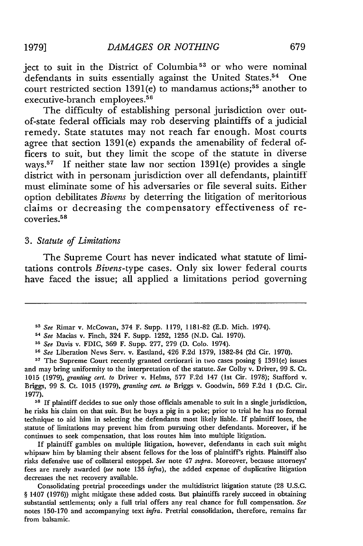ject to suit in the District of Columbia<sup>53</sup> or who were nominal defendants in suits essentially against the United States.<sup>54</sup> One court restricted section 1391(e) to mandamus actions; 55 another to executive-branch employees.56

The difficulty of establishing personal jurisdiction over outof-state federal officials may rob deserving plaintiffs of a judicial remedy. State statutes may not reach far enough. Most courts agree that section 1391(e) expands the amenability of federal officers to suit, but they limit the scope of the statute in diverse ways.57 If neither state law nor section 1391(e) provides a single district with in personam jurisdiction over all defendants, plaintiff must eliminate some of his adversaries or file several suits. Either option debilitates *Bivens* by deterring the litigation of meritorious claims or decreasing the compensatory effectiveness of recoveries.<sup>5</sup> <sup>8</sup>

#### *3. Statute of Limitations*

The Supreme Court has never indicated what statute of limitations controls *Bivens-type* cases. Only six lower federal courts have faced the issue; all applied a limitations period governing

**<sup>5</sup>**The Supreme Court recently granted certiorari in two cases posing § 1391(e) issues and may bring uniformity to the interpretation of the statute. *See* Colby v. Driver, 99 **S.** Ct. 1015 (1979), *granting cert. to* Driver v. Helms, **577** F.2d 147 (1st Cir. 1978); Stafford v. Briggs, 99 **S.** Ct. 1015 (1979), *granting cert. to* Briggs v. Goodwin, **569** F.2d **I** (D.C. Cir. 1977).

<sup>58</sup> If plaintiff decides to sue only those officials amenable to suit in a single jurisdiction, he risks his claim on that suit. But he buys a **pig** in a poke; prior to trial he has no formal technique to aid him in selecting the defendants most likely liable. If plaintiff loses, the statute of limitations may prevent him from pursuing other defendants. Moreover, if he continues to seek compensation, that loss routes him into multiple litigation.

If plaintiff gambles on multiple litigation, however, defendants in each suit might whipsaw him by blaming their absent fellows for the loss of plaintiff's rights. Plaintiff also risks defensive use of collateral estoppel. *See* note 47 *supra.* Moreover, because attorneys' fees are rarely awarded *(see* note **135** *infra),* the added expense of duplicative litigation decreases the net recovery available.

Consolidating pretrial proceedings under the multidistrict litigation statute (28 U.S.C. § 1407 (1976)) might mitigate these added costs. But plaintiffs rarely succeed in obtaining substantial settlements; only a full trial offers any real chance for full compensation. *See* notes 150-170 and accompanying text *infra.* Pretrial consolidation, therefore, remains far from balsamic.

*<sup>53</sup>See* Rimar v. McCowan, 374 F. Supp. 1179, 1181-82 **(E.D.** Mich. 1974).

*<sup>54</sup>See* Macias v. Finch, 324 F. Supp. 1252, 1255 (N.D. Cal. 1970).

**<sup>&</sup>quot;** *See* Davis v. FDIC, 369 F. Supp. 277, 279 (D. Colo. 1974).

*<sup>&</sup>quot; See* Liberation News Serv. v. Eastland, 426 F.2d 1379, 1382-84 (2d Cir. 1970).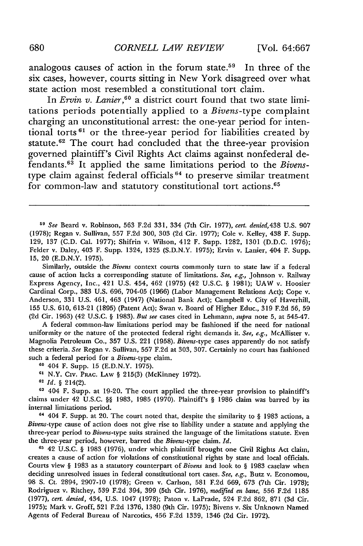analogous causes of action in the forum state.<sup>59</sup> In three of the six cases, however, courts sitting in New York disagreed over what state action most resembled a constitutional tort claim.

In *Ervin v. Lanier*,<sup>60</sup> a district court found that two state limitations periods potentially applied to a *Bivens-type* complaint charging an unconstitutional arrest: the one-year period for intentional torts<sup>61</sup> or the three-year period for liabilities created by statute.<sup>62</sup> The court had concluded that the three-year provision governed plaintiff's Civil Rights Act claims against nonfederal defendants.<sup>63</sup> It applied the same limitations period to the *Bivens*type claim against federal officials<sup>64</sup> to preserve similar treatment for common-law and statutory constitutional tort actions.<sup>65</sup>

*<sup>11</sup>See* Beard v. Robinson, 563 F.2d 331, 334 (7th Cir. 1977), *cert. denied,438* U.S. 907 (1978); Regan v. Sullivan, 557 F.2d 300, 303 (2d Cir. 1977); Cole v. Kelley, 438 F. Supp. 129, **137** (C.D. Cal. 1977); Shifrin v. Wilson, 412 F. Supp. 1282, 1301 (D.D.C. 1976); Felder v. Daley, 403 F. Supp. 1324, 1325 (S.D.N.Y. 1975); Ervin v. Lanier, 404 F. Supp. **15,** 20 (E.D.N.Y. 1975).

Similarly, outside the *Bivens* context courts commonly turn to state law if a federal cause of action lacks a corresponding statute of limitations. *See, e.g.,* Johnson v. Railway Express Agency, Inc., 421 U.S. 454, 462 (1975) (42 U.S.C. § 1981); UAW v. Hoosier Cardinal Corp., 383 U.S. 696, 704-05 (1966) (Labor Management Relations Act); Cope v. Anderson, 331 U.S. 461, 463 (1947) (National Bank Act); Campbell v. City of Haverhill, **155** U.S. 610, 613-21 (1895) (Patent Act); Swan v. Board of Higher Educ., 319 F.2d 56, 59 (2d Cir. 1963) (42 U.S.C. § 1983). *But see* cases cited in Lehmann, *supra* note 5, at 545-47.

A federal common-law limitations period may be fashioned if the need for national uniformity or the nature of the protected federal right demands it. *See, e.g.,* McAllister v. Magnolia Petroleum Co., 357 U.S. 221 (1958). *Bivens-type* cases apparently do not satisfy these criteria. *See* Regan v. Sullivan, 557 F.2d at 303, 307. Certainly no court has fashioned such a federal period for a Bivens-type claim.

**<sup>60</sup>**404 F. Supp. 15 (E.D.N.Y. 1975).

**61** N.Y. Civ. PRAc. LAw § 215(3) (McKinney 1972).

**<sup>62</sup>***Id. §* 214(2).

**<sup>13</sup>**404 F. Supp. at 19-20. The court applied the three-year provision to plaintiff's claims under 42 U.S.C. §§ 1983, 1985 (1970). Plaintiff's § 1986 claim was barred by its internal limitations period.

**<sup>11</sup>**404 F. Supp. at 20. The court noted that, despite the similarity to § 1983 actions, a *Bivens-type* cause of action does not give rise to liability under a statute and applying the three-year period to *Bivens-type* suits strained the language of the limitations statute. Even the three-year period, however, barred the Bivens-type claim. *Id.*

**<sup>65</sup>**42 U.S.C. § 1983 (1976), under which plaintiff brought one Civil Rights Act claim, creates a cause of action for violations of constitutional rights by state and local officials. Courts view § 1983 as a statutory counterpart of *Bivens* and look to § 1983 caselaw when deciding unresolved issues in federal constitutional tort cases. *See, e.g.,* Butz v. Economou, 98 **S.** Ct. 2894, 2907-10 (1978); Green v. Carlson, 581 F.2d 669, 673 (7th Cir. 1978); Rodriguez v. Ritchey, 539 F.2d 394, 399 (5th Cir. 1976), *modified en banc,* 556 F.2d 1185 (1977), *cert. denied,* 434, U.S. 1047 (1978); Paton v. LaPrade, 524 F.2d 862, 871 (3d Cir. 1975); Mark v. Groff, 521 F.2d 1376, 1380 (9th Cir. 1975); Bivens v. Six Unknown Named Agents of Federal Bureau of Narcotics, 456 F.2d 1339, 1346 (2d Cir. 1972).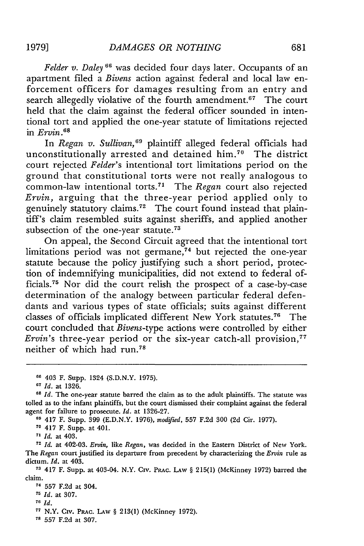*Felder v. Daley* **6"** was decided four days later. Occupants of an apartment filed a *Bivens* action against federal and local law enforcement officers for damages resulting from an entry and search allegedly violative of the fourth amendment.<sup>67</sup> The court held that the claim against the federal officer sounded in intentional tort and applied the one-year statute of limitations rejected in *Ervin.6 <sup>8</sup>*

In *Regan v. Sullivan,"9* plaintiff alleged federal officials had unconstitutionally arrested and detained him.<sup>70</sup> The district court rejected *Felder's* intentional tort limitations period on the ground that constitutional torts were not really analogous to common-law intentional torts.<sup>71</sup> The *Regan* court also rejected *Ervin,* arguing that the three-year period applied only to genuinely statutory claims.72 The court found instead that plaintiff's claim resembled suits against sheriffs, and applied another subsection of the one-year statute.<sup>73</sup>

On appeal, the Second Circuit agreed that the intentional tort limitations period was not germane, $74$  but rejected the one-year statute because the policy justifying such a short period, protection of indemnifying municipalities, did not extend to federal officials.<sup>75</sup> Nor did the court relish the prospect of a case-by-case determination of the analogy between particular federal defendants and various types of state officials; suits against different classes of officials implicated different New York statutes.<sup>76</sup> The court concluded that *Bivens-type* actions were controlled by either *Ervin's* three-year period or the six-year catch-all provision,<sup>77</sup> neither of which had  $run.^{78}$ 

*<sup>67</sup>Id.* at 1326.

**69** 417 F. Supp. 399 (E.D.N.Y. 1976), *modified,* 557 F.2d 300 (2d Cir. 1977).

**<sup>70</sup>**417 F. Supp. at 401.

**<sup>71</sup>***Id.* at 403.

**<sup>72</sup>***Id.* at 402-03. *Ervin,* like *Regan,* was decided in the Eastern District of New York. The *Regan* court justified its departure from precedent by characterizing the *Ervin* rule as dictum. *Id.* at 403.

**<sup>73</sup>**417 F. Supp. at 403-04. N.Y. Civ. PRAc. LAW § 215(1) (McKinney 1972) barred the claim.

<sup>74</sup>**557** F.2d at 304.

*<sup>75</sup>Id.* at 307.

**<sup>76</sup>***Id.*

**<sup>77</sup>**N.Y. Civ. PRAc. LAW § 213(1) (McKinney 1972).

**<sup>78</sup>**557 F.2d at 307.

**<sup>66</sup>**403 F. Supp. 1324 (S.D.N.Y. 1975).

**<sup>68</sup>***Id.* The one-year statute barred the claim as to the adult plaintiffs. The statute was tolled as to the infant plaintiffs, but the court dismissed their complaint against the federal agent for failure to prosecute. *Id.* at 1326-27.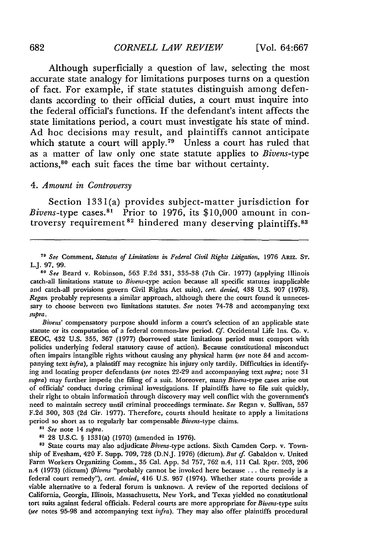# 682 *CORNELL LAW REVIEW* [Vol. 64:667

Although superficially a question of law, selecting the most accurate state analogy for limitations purposes turns on a question of fact. For example, if state statutes distinguish among defendants according to their official duties, a court must inquire into the federal official's functions. If the defendant's intent affects the state limitations period, a court must investigate his state of mind. Ad hoc decisions may result, and plaintiffs cannot anticipate which statute a court will apply.<sup>79</sup> Unless a court has ruled that as a matter of law only one state statute applies to *Bivens-type* actions, 80 each suit faces the time bar without certainty.

## 4. *Amount in Controversy*

Section 1331(a) provides subject-matter jurisdiction for *Bivens-type cases.*<sup>81</sup> Prior to 1976, its  $$10,000$  amount in controversy requirement<sup>82</sup> hindered many deserving plaintiffs.<sup>83</sup>

**<sup>71</sup>***See* Comment, *Statutes of Limitations in Federal Civil Rights Litigation,* 1976 ARIZ. **ST.** L.J. 97, 99.

**80** *See* Beard v. Robinson, 563 F.2d 331, 335-38 (7th Cir. 1977) (applying Illinois catch-all limitations statute to *Bivens-type* action because all specific statutes inapplicable and catch-all provisions govern Civil Rights Act suits), *cert. denied,* 438 U.S. 907 (1978). *Regan* probably represents a similar approach, although there the court found it unnecessary to choose between two limitations statutes. *See* notes 74-78 and accompanying text *supra.*

*Bivens'* compensatory purpose should inform a court's selection of an applicable state statute or its computation of a federal common-law period. Cf. Occidental Life Ins. Co. v. EEOC, 432 U.S. 355, 367 (1977) (borrowed state limitations period must comport with policies underlying federal statutory cause of action). Because constitutional misconduct often impairs intangible rights without causing any physical harm *(see* note 84 and accompanying text *infra),* a plaintiff may recognize his injury only tardily. Difficulties in identifying and locating proper defendants *(see* notes 22-29 and accompanying text *supra;* note 31 *supra)* may further impede the filing of a suit. Moreover, many *Bivens-type* cases arise out of officials' conduct during criminal investigations. If plaintiffs have to file suit quickly, their right to obtain information through discovery may well conflict with the government's need to maintain secrecy until criminal proceedings terminate. *See* Regan v. Sullivan, **557** F.2d 300, 303 (2d Cir. 1977). Therefore, courts should hesitate to apply a limitations period so short as to regularly bar compensable Bivens-type claims.

<sup>81</sup> See note 14 supra.

**82** 28 U.S.C. § 1331(a) (1970) (amended in 1976).

**'3** State courts may also adjudicate Bivens-type actions. Sixth Camden Corp. v. Township of Evesham, 420 F. Supp. 709, 728 (D.N.J. 1976) (dictum). *But cf.* Gabaldon v. United Farm Workers Organizing Comm., 35 Cal. App. 3d 757, 762 n.4, 111 Cal. Rptr. 203, 206 n.4 (1973) (dictum) *(Bivens* "probably cannot be invoked here because ... the remedy is a federal court remedy"), *cert. denied,* 416 U.S. 957 (1974). Whether state courts provide a viable alternative to a federal forum is unknown. **A** review of the reported decisions of California, Georgia, Illinois, Massachusetts, New York, and Texas yielded no constitutional tort suits against federal officials. Federal courts are more appropriate for Bivens-type suits *(see* notes 95-98 and accompanying text *infra).* They may also offer plaintiffs procedural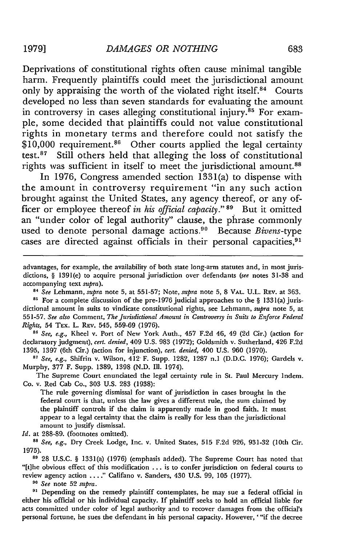Deprivations of constitutional rights often cause minimal tangible harm. Frequently plaintiffs could meet the jurisdictional amount only by appraising the worth of the violated right itself.<sup>84</sup> Courts developed no less than seven standards for evaluating the amount in controversy in cases alleging constitutional injury.<sup>85</sup> For example, some decided that plaintiffs could not value constitutional rights in monetary terms and therefore could not satisfy the  $$10,000$  requirement.<sup>86</sup> Other courts applied the legal certainty test. 87 Still others held that alleging the loss of constitutional rights was sufficient in itself to meet the jurisdictional amount.<sup>88</sup>

In 1976, Congress amended section 1331(a) to dispense with the amount in controversy requirement "in any such action brought against the United States, any agency thereof, or any **of**ficer or employee thereof *in his official capacity."* **89** But it omitted an "under color of legal authority" clause, the phrase commonly used to denote personal damage actions.90 Because *Bivens-type* cases are directed against officials in their personal capacities,<sup>91</sup>

advantages, for example, the availability of both state long-arm statutes and, in most jurisdictions, § 1391(e) to acquire personal jurisdiction over defendants *(see* notes 31-38 and accompanying text *supra).*

*8 See Lehmann, supra* note 5, at 551-57; Note, *supra* note 5, 8 VAL. U.L. REv. at 363.

<sup>85</sup> For a complete discussion of the pre-1976 judicial approaches to the § 1331(a) jurisdictional amount in suits to vindicate constitutional rights, see Lehmann, *supra* note 5, at 551-57. *See also* Comment, *The Jurisdictional Amount in Controversy in Suits to Enforce Federal Rights,* 54 TEx. L. REv. 545, 559-69 (1976).

**8"** *See, e.g.,* Kheel v. Port of New York Auth., 457 F.2d 46, 49 (2d Cir.) (action for declaratory judgment), *cert. denied,* 409 U.S. 983 (1972); Goldsmith v. Sutherland, 426 F.2d 1395, 1397 (6th Cir.) (action for injunction), *cert. denied,* 400 U.S. 960 (1970).

*<sup>87</sup>See, e.g.,* Shifrin v. Wilson, 412 F. Supp. 1282, 1287 n.1 (D.D.C. 1976); Gardels v. Murphy, 377 F. Supp. 1389, 1398 (N.D. Ill. 1974).

The Supreme Court enunciated the legal certainty rule in St. Paul Mercury Indem. Co. v. Red Cab Co., 303 U.S. 283 (1938):

The rule governing dismissal for want of jurisdiction in cases brought in the federal court is that, unless the law gives a different rule, the sum claimed by the plaintiff controls if the claim is apparently made in good faith. It must appear to a legal certainty that the claim is really for less than the jurisdictional amount to justify dismissal.

Id. at 288-89. (footnotes omitted).

**<sup>88</sup>***See, e.g.,* Dry Creek Lodge, Inc. v. United States, 515 F.2d 926, 931-32 (10th Cir. 1975).

**<sup>89</sup>**28 U.S.C. § 1331(a) (1976) (emphasis added). The Supreme Court has noted that "[t]he obvious effect of this modification ... is to confer jurisdiction on federal courts to review agency action **.... "** Califano v. Sanders, 430 U.S. 99, **105** (1977).

*<sup>90</sup>See* note 52 *supra.*

**91** Depending on the remedy plaintiff contemplates, he may sue a federal official in either his official or his individual capacity. If plaintiff seeks to hold an official liable for acts committed under color of legal authority and to recover damages from the official's personal fortune, he sues the defendant in his personal capacity. However, '"if the decree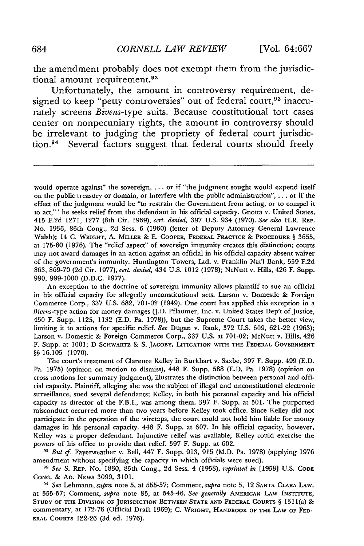the amendment probably does not exempt them from the jurisdictional amount requirement.<sup>92</sup>

Unfortunately, the amount in controversy requirement, designed to keep "petty controversies" out of federal court,<sup>93</sup> inaccurately screens *Bivens-type* suits. Because constitutional tort cases center on nonpecuniary rights, the amount in controversy should be irrelevant to judging the propriety of federal court jurisdiction.<sup>94</sup> Several factors suggest that federal courts should freely

An exception to the doctrine of sovereign immunity allows plaintiff to sue an official in his official capacity for allegedly unconstitutional acts. Larson v. Domestic & Foreign Commerce Corp., 337 U.S. 682, 701-02 (1949). One court has applied this exception in a Bivens-type action for money damages (J.D. Pflaumer, Inc. v. United States Dep't of Justice, 450 F. Supp. 1125, 1132 (E.D. Pa. 1978)), but the Supreme Court takes the better view, limiting it to actions for specific relief. *See* Dugan v. Rank, 372 U.S. 609, 621-22 (1963); Larson v. Domestic & Foreign Commerce Corp., 337 U.S. at 701-02; McNutt v. Hills, 426 F. Supp. at 1001; D **SCHWARTZ** & **S. JACOBY,** LITIGATION **WITH THE FEDERAL GOVERNMENT** *§§* 16.105 (1970).

The court's treatment of Clarence Kelley in Burkhart v. Saxbe, 397 F. Supp. 499 (E.D. Pa. 1975) (opinion on motion to dismiss), 448 F. Supp. 588 (E.D. Pa. 1978) (opinion on cross motions for summary judgment), illustrates the distinction between personal and official capacity. Plaintiff, alleging she was the subject of illegal and unconstitutional electronic surveillance, sued several defendants; Kelley, in both his personal capacity and his official capacity as director of the F.B.I., was among them. 397 F. Supp. at 501. The purported misconduct occurred more than two years before Kelley took office. Since Kelley did not participate in the operation of the wiretaps, the court could not hold him liable for money damages in his personal capacity. 448 F. Supp. at 607. In his official capacity, however, Kelley was a proper defendant. Injunctive relief was available; Kelley could exercise the powers of his office to provide that relief. 397 F. Supp. at 602.

*<sup>92</sup>But cf.* Fayerweather v. Bell, 447 F. Supp. 913, 915 (M.D. Pa. 1978) (applying 1976 amendment without specifying the capacity in which officials were sued).

**93** *See* S. **REP.** No. 1830, 85th Cong., 2d Sess. 4 (1958), *reprinted in* [1958] U.S. **CODE CONG. & AD.** NEWS 3099, 3101.

**94** *See* Lehmann, *supra* note 5, at 555-57; Comment, *supra* note 5, 12 **SANTA** CLARA LAW. at 555-57; Comment, *supra* note 85, at 545-46. *See generally* AMERICAN LAW INSTITUTE, **STUDY OF THE** DIVISION **OF JURISDICTION BETWEEN STATE AND FEDERAL COURTS** § 1311 (a) & commentary, at 172-76 (Official Draft **1969); C. WRIGHT, HANDBOOK OF THE LAW OF FED-ERAL COURTS** 122-26 (3d ed. 1976).

would operate against" the sovereign, ... or if "the judgment sought would expend itself on the public treasury or domain, or interfere with the public administration",.., or if the effect of the judgment would be "to restrain the Government from acting, or to compel it to act,"' he seeks relief from the defendant in his official capacity. Gnotta v. United States, 415 F.2d 1271, **1277** (8th Cir. 1969), *cert. denied,* **397** U.S. 934 **(1970).** *See also* H.R. **REP.** No. 1936, 86th Cong., 2d Sess. 6 (1960) (letter of Deputy Attorney General Lawrence Walsh); 14 **C. WRIGHT, A.** MILLER **& E. COOPER, FEDERAL** PRACTICE **& PROCEDURE** § 3655, at 175-80 (1976). The "relief aspect" of sovereign immunity creates this distinction; courts may not award damages in an action against an official in his official capacity absent waiver of the government's immunity. Huntington Towers, Ltd. v. Franklin Nat'l Bank, 559 F.2d 863, 869-70 (2d Cir. 1977), *cert. denied,* 434 U.S. 1012 (1978); NcNutt v. Hills, 426 F. Supp. 990, 999-1000 (D.D.C. 1977).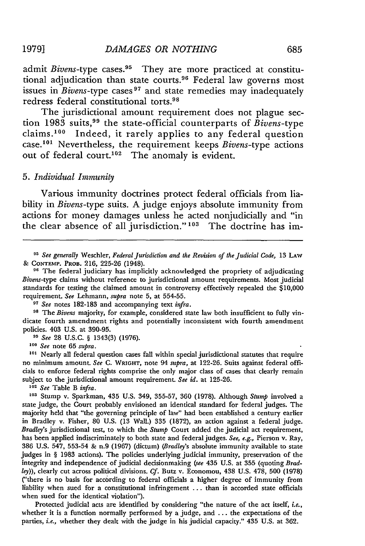admit *Bivens*-type cases.<sup>95</sup> They are more practiced at constitutional adjudication than state courts.96 Federal law governs most issues in *Bivens-type* cases **9 <sup>7</sup>**and state remedies may inadequately redress federal constitutional torts. <sup>98</sup>

The jurisdictional amount requirement does not plague section 1983 suits, 99 the state-official counterparts of *Bivens-type* claims.<sup>100</sup> Indeed, it rarely applies to any federal question case.<sup>101</sup> Nevertheless, the requirement keeps *Bivens*-type actions out of federal court.<sup>102</sup> The anomaly is evident.

#### 5. *Individual Immunity*

Various immunity doctrines protect federal officials from liability in *Bivens-type* suits. A judge enjoys absolute immunity from actions for money damages unless he acted nonjudicially and "in the clear absence of all jurisdiction." **13** The doctrine has im-

<sup>95</sup> See generally Weschler, *Federal Jurisdiction and the Revision of the Judicial Code*, 13 LAW & **CONTEMP.** PROB. 216, 225-26 (1948).

**<sup>96</sup>**The federal judiciary has implicitly acknowledged the propriety of adjudicating *Bivens-type* claims without reference to jurisdictional amount requirements. Most judicial standards for testing the claimed amount in controversy effectively repealed the \$10,000 requirement. *See* Lehmann, *supra* note 5, at 554-55.

*<sup>97</sup>See* notes 182-183 and accompanying text *infra.*

**98** The *Bivens* majority, for example, considered state law both insufficient to fully vindicate fourth amendment rights and potentially inconsistent with fourth amendment policies. 403 U.S. at 390-95.

*<sup>99</sup>See* 28 U.S.C. § 1343(3) (1976).

**<sup>100</sup>***See* note 65 *supra.*

**101** Nearly all federal question cases fall within special jurisdictional statutes that require no minimum amount. *See* **C. WRIGHT,** note 94 *supra,* at **122-26.** Suits against federal officials to enforce federal rights comprise the only major class of cases that clearly remain subject to the jurisdictional amount requirement. *See id.* at **125-26.**

**<sup>102</sup>***See* Table B *infra.*

**<sup>103</sup>**Stump v. Sparkman, 435 U.S. 349, 355-57, 360 (1978). Although *Stump* involved a state judge, the Court probably envisioned an identical standard for federal judges. The majority held that "the governing principle of law" had been established a century earlier in Bradley v. Fisher, 80 U.S. (13 Wall.) 335 (1872), an action against a federal judge. *Bradley's* jurisdictional test, to which the *Stump* Court added the judicial act requirement, has been applied indiscriminately to both state and federal judges. *See, e.g.,* Pierson v. Ray, 386 U.S. 547, 553-54 & n.9 (1967) (dictum) *(Bradley's* absolute immunity available to state judges in § 1983 actions). The policies underlying judicial immunity, preservation of the integrity and independence of judicial decisionmaking *(see* 435 U.S. at 355 (quoting *Bradley)),* clearly cut across political divisions. *Cf.* Butz v. Economou, 438 U.S. 478, 500 (1978) ("there is no basis for according to federal officials a higher degree of immunity from liability when sued for a constitutional infringement ... than is accorded state officials when sued for the identical violation").

Protected judicial acts are identified by considering "the nature of the act itself, *i.e.,* whether it is a function normally performed **by** a judge, and ... the expectations of the parties, *i.e.,* whether they dealt with the judge in his judicial capacity." 435 U.S. at 362.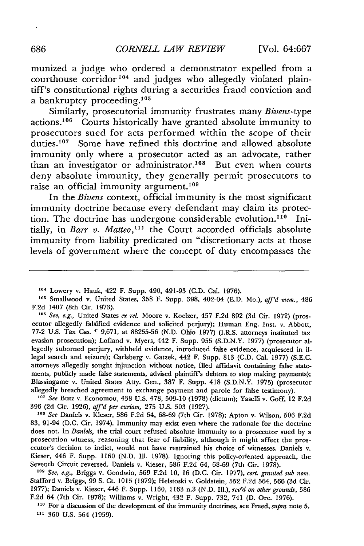munized a judge who ordered a demonstrator expelled from a courthouse corridor<sup>104</sup> and judges who allegedly violated plaintiff's constitutional rights during a securities fraud conviction and a bankruptcy proceeding.<sup>105</sup>

Similarly, prosecutorial immunity frustrates many *Bivens-type* actions.<sup>106</sup> Courts historically have granted absolute immunity to prosecutors sued for acts performed within the scope of their duties.<sup>107</sup> Some have refined this doctrine and allowed absolute immunity only where a prosecutor acted as an advocate, rather than an investigator or administrator.<sup>108</sup> But even when courts deny absolute immunity, they generally permit prosecutors to raise an official immunity argument.<sup>109</sup>

In the *Bivens* context, official immunity is the most significant immunity doctrine because every defendant may claim its protection. The doctrine has undergone considerable evolution.<sup>110</sup> Initially, in *Barr v. Matteo*,<sup>111</sup> the Court accorded officials absolute immunity from liability predicated on "discretionary acts at those levels of government where the concept of duty encompasses the

**106** *See, e.g.,* United States *ex rel.* Moore v. Koelzer, 457 F.2d 892 (3d Cir. 1972) (prosecutor allegedly falsified evidence and solicited perjury); Human Eng. Inst. v. Abbott, 77-2 U.S. Tax Cas. 9,671, at 88255-56 (N.D. Ohio 1977) (I.R.S. attorneys instituted tax evasion prosecution); Lofland v. Myers, 442 F. Supp. 955 (S.D.N.Y. 1977) (prosecutor allegedly suborned perjury, withheld evidence, introduced false evidence, acquiesced in illegal search and seizure); Carlsberg v. Gatzek, 442 F. Supp. 813 (C.D. Cal. 1977) (S.E.C. attorneys allegedly sought injunction without notice, filed affidavit containing false statements, publicly made false statements, advised plaintiff's debtors to stop making payments); Blassingame v. United States Atty. Gen., 387 F. Supp. 418 (S.D.N.Y. 1975) (prosecutor allegedly breached agreement to exchange payment and parole for false testimony).

*1"7 See* Butz v. Economou, 438 U.S. 478, 509-10 (1978) (dictum); Yaselli v. *Goff,* 12 F.2d 396 (2d Cir. 1926), *aff'd per curiam,* 275 U.S. 503 (1927).

*<sup>108</sup>See* Daniels v. Kieser, 586 F.2d 64, 68-69 (7th Cir. 1978); Apton v. Wilson, 506 F.2d 83, 91-94 (D.C. Cir. 1974). Immunity may exist even where the rationale for the doctrine does not. In *Daniels,* the trial court refused absolute immunity to a prosecutor sued by a prosecution witness, reasoning that fear of liability, although it might affect the prosecutor's decision to indict, would not have restrained his choice of witnesses. Daniels v. Kieser, 446 F. Supp. 1160 (N.D. Ill. 1978). Ignoring this policy-oriented approach, the Seventh Circuit reversed. Daniels v. Kieser, 586 F.2d 64, 68-69 (7th Cir. 1978).

*<sup>10</sup>See, e.g.,* Briggs v. Goodwin, 569 F.2d 10, 16 (D.C. Cir. 1977), *cert. granted sub nom.* Stafford v. Briggs, 99 **S.** Ct. 1015 (1979); Helstoski v. Goldstein, 552 F.2d 564, 566 (3d Cir. 1977); Daniels v. Kieser, 446 F. Supp. 1160, 1163 n.3 (N.D. Ill.), *rev'd on other grounds,* 586 F.2d 64 (7th Cir. 1978); Williams v. Wright, 432 F. Supp. 732, 741 (D. Ore. 1976).

**110** For a discussion of the development of the immunity doctrines, see Freed, *supra* note 5. **<sup>111</sup>**360 U.S. 564 (1959).

×

**<sup>104</sup>**Lowery v. Hauk, 422 F. Supp. 490, 491-93 (C.D. Cal. 1976).

**<sup>105</sup>** Smallwood v. United States, 358 F. Supp. 398, 402-04 **(E.D.** Mo.), *aff'd mem.,* 486 F.2d 1407 (8th Cir. 1973).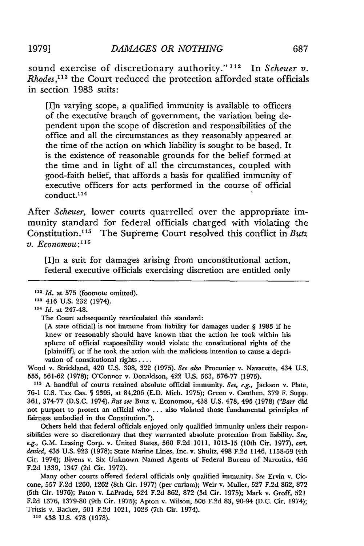sound exercise of discretionary authority."<sup>112</sup> In *Scheuer v*. *Rhodes,113* the Court reduced the protection afforded state officials in section 1983 suits:

[I]n varying scope, a qualified immunity is available to officers of the executive branch of government, the variation being dependent upon the scope of discretion and responsibilities of the office and all the circumstances as they reasonably appeared at the time of the action on which liability is sought to be based. It is the existence of reasonable grounds for the belief formed at the time and in light of all the circumstances, coupled with good-faith belief, that affords a basis for qualified immunity of executive officers for acts performed in the course of official  $\text{conduct.}^{114}$ 

After *Scheuer,* lower courts quarrelled over the appropriate immunity standard for federal officials charged with violating the Constitution.<sup>115</sup> The Supreme Court resolved this conflict in *Butz v. Economou:1 <sup>6</sup>*

[I]n a suit for damages arising from unconstitutional action, federal executive officials exercising discretion are entitled only

**113** 416 U.S. 232 (1974).

[A state official] is not immune from liability for damages under § 1983 if he knew or reasonably should have known that the action he took within his sphere of official responsibility would violate the constitutional rights of the [plaintiff], or if he took the action with the malicious intention to cause a deprivation of constitutional rights ....

Wood v. Strickland, 420 U.S. 308, 322 (1975). *See also* Procunier v. Navarette, 434 U.S. 555, 561-62 (1978); O'Connor v. Donaldson, 422 U.S. 563, 576-77 (1975).

**5** A handful of courts retained absolute official immunity. *See,* e.g., Jackson v. Plate, 76-1 **U.S.** Tax Cas. 9395, at 84,206 **(E.D.** Mich. 1975); Green v. Cauthen, 379 F. Supp. 361, 374-77 (D.S.C. 1974). *But see* Butz v. Economou, 438 **U.S.** 478, 495 (1978) *("Barr* did not purport to protect an official who **...** also violated those fundamental principles of fairness embodied in the Constitution.").

Others held that federal officials enjoyed only qualified immunity unless their responsibilities were so discretionary that they warranted absolute protection from liability. *See, e.g.,* **G.M.** Leasing Corp. v. United States, 560 **F.2d** 1011, 1013-15 (10th Cir. 1977), *cert. denied,* 435 U.S. 923 (1978); State Marine Lines, Inc. v. Shultz, 498 F.2d 1146, 1158-59 (4th Cir. 1974); Bivens v. Six Unknown Named Agents of Federal Bureau of Narcotics, 456 **F.2d** 1339, 1347 (2d Cir. 1972).

Many other courts offered federal officials only qualified immunity. *See* Ervin v. Ciccone, 557 **F.2d** 1260, 1262 (8th Cir. **1977)** (per curiam); Weir v. Muller, **527 F.2d** 862, **872** (5th Cir. 1976); Paton v. LaPrade, 524 **F.2d** 862, **872** (3d. Cir. 1975); Mark v. Groff, 521 **F.2d** 1376, 1379-80 (9th Cir. 1975); Apton v. Wilson, 506 **F.2d 83,** 90-94 (D.C. Cir. 1974); Tritsis v. Backer, 501 **F.2d** 1021, 1023 (7th Cir. 1974).

**116** 438 U.S. **478 (1978).**

**<sup>112</sup>***Id.* at 575 (footnote omitted).

**n,** *Id.* at 247-48.

The Court subsequently rearticulated this standard: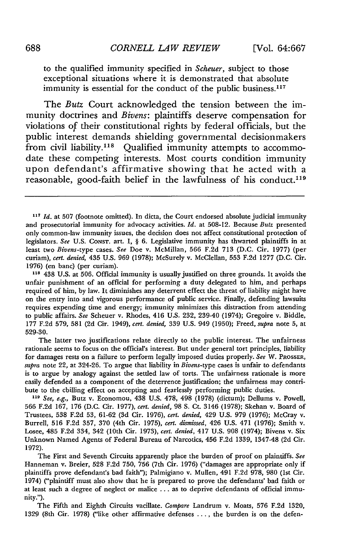to the qualified immunity specified in *Scheuer,* subject to those exceptional situations where it is demonstrated that absolute immunity is essential for the conduct of the public business.<sup>117</sup>

The *Butz* Court acknowledged the tension between the immunity doctrines and *Bivens:* plaintiffs deserve compensation for violations of their constitutional rights by federal officials, but the public interest demands shielding governmental decisionmakers from civil liability.<sup>118</sup> Qualified immunity attempts to accommodate these competing interests. Most courts condition immunity upon defendant's affirmative showing that he acted with a reasonable, good-faith belief in the lawfulness of his conduct.119

**"s** 438 U.S. at 506. Official immunity is usually justified on three grounds. It avoids the unfair punishment of an official for performing a duty delegated to him, and perhaps required of him, by law. It diminishes any deterrent effect the threat of liability might have on the entry into and vigorous performance of public service. Finally, defending lawsuits requires expending time and energy; immunity minimizes this distraction from attending to public affairs. *See* Scheuer v. Rhodes, 416 U.S. 232, 239-40 (1974); Gregoire v. Biddle, 177 F.2d 579, 581 (2d Cir. 1949), *cert. denied,* 339 U.S. 949 (1950); Freed, *supra* note 5, at 529-30.

The latter two justifications relate directly to the public interest. The unfairness rationale seems to focus on the official's interest. But under general tort principles, liability for damages rests on a failure to perform legally imposed duties properly. *See* W. PROSSER, *supra* note 22, at 324-26. To argue that liability in Bivens-type cases is unfair to defendants is to argue by analogy against the settled law of torts. The unfairness rationale is more easily defended as a component of the deterrence justification; the unfairness may contribute to the chilling effect on accepting and fearlessly performing public duties.

**119** *See, e.g.,* Butz v. Economou, 438 U.S. 478, 498 (1978) (dictum); Dellums v. Powell, 566 F.2d 167, 176 (D.C. Cir. 1977), *cert. denied,* 98 S. Ct. 3146 (1978); Skehan v. Board of Trustees, 538 F.2d 53, 61-62 (3d Cir. 1976), *cert. denied,* 429 U.S. 979 (1976); McCray v. Burrell, 516 F.2d 357, 370 (4th Cir. 1975), *cert. dismissed,* 426 U.S. 471 (1976); Smith v. Losee, 485 F.2d 334, 342 (10th Cir. 1973), *cert. denied,* 417 U.S. 908 (1974); Bivens v. Six Unknown Named Agents of Federal Bureau of Narcotics, 456 F.2d 1339, 1347-48 (2d Cir. 1972).

The First and Seventh Circuits apparently place the burden of proof on plaintiffs. *See* Hanneman v. Breier, 528 F.2d 750, 756 (7th Cir. 1976) ("damages are appropriate only if plaintiffs prove defendant's bad faith"); Palmigiano v. Mullen, 491 F.2d 978, 980 (Ist Cir. 1974) ("plaintiff must also show that he is prepared to prove the defendants' bad faith or at least such a degree of neglect or malice ... as to deprive defendants of official immunity.").

The Fifth and Eighth Circuits vacillate. *Compare* Landrum v. Moats, 576 F.2d 1320, 1329 (8th Cir. 1978) ("like other affirmative defenses **....** the burden is on the defen-

**<sup>117</sup>** *Id.* at 507 (footnote omitted). In dicta, the Court endorsed absolute judicial immunity and prosecutorial immunity for advocacy activities. *Id.* at 508-12. Because *Butz* presented only common-law immunity issues, the decision does not affect constitutional protection of legislators. *See* U.S. CONsT. art. I, § 6. Legislative immunity has thwarted plaintiffs in at least two *Bivens-type* cases. *See* Doe v. McMillan, 566 F.2d 713 (D.C. Cir. 1977) (per curiam), *cert. denied,* 435 U.S. 969 (1978); McSurely v. McClellan, 553 F.2d 1277 (D.C. Cir. 1976) (en banc) (per curiam).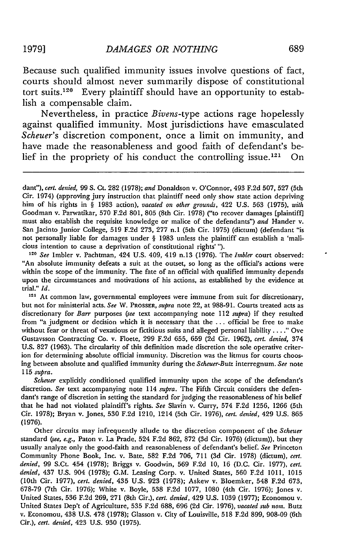Because such qualified immunity issues involve questions of fact, courts should almost never summarily dispose of constitutional tort suits.<sup>120</sup> Every plaintiff should have an opportunity to establish a compensable claim.

Nevertheless, in practice *Bivens-type* actions rage hopelessly against qualified immunity. Most jurisdictions have emasculated *Scheuer's* discretion component, once a limit on immunity, and have made the reasonableness and good faith of defendant's belief in the propriety of his conduct the controlling issue.<sup>121</sup> On

**<sup>120</sup>***See* Imbler v. Pachtman, 424 U.S. 409, 419 n.13 (1976). The *Imbler* court observed: "An absolute immunity defeats a suit at the outset, so long as the official's actions were within the scope of the immunity. The fate of an official with qualified immunity depends upon the circumstances and motivations of his actions, as established by the evidence at trial." *Id.*

**<sup>121</sup>**At common law, governmental employees were immune from suit for discretionary, but not for ministerial acts. *See* W. PROSSER, *supra* note 22, at 988-91. Courts treated acts as discretionary for *Barr* purposes *(see* text accompanying note 112 *supra)* if they resulted from "a judgment or decision which it is necessary that the **...** official be free to make without fear or threat of vexatious or fictitious suits and alleged personal liability **.. "** Ove Gustavsson Contracting Co. v. Floete, 299 F.2d **655, 659** (2d Cir. 1962), *cert. denied,* 374 U.S. 827 (1963). The circularity of this definition made discretion the sole operative criterion for determining absolute official immunity. Discretion was the litmus for courts choosing between absolute and qualified immunity during the *Scheuer-Butz* interregnum. *See* note **115** *supra.*

*Scheuer* explicitly conditioned qualified immunity upon the scope of the defendant's discretion. *See* text accompanying note 114 *supra.* The Fifth Circuit considers the defendant's range of discretion in setting the standard for judging the reasonableness of his belief that he had not violated plaintiff's rights. *See* Slavin v. Curry, 574 F.2d 1256, 1266 (5th Cir. 1978); Bryan v. Jones, 530 F.2d 1210, 1214 (5th Cir. 1976), *cert. denied,* 429 U.S. **865** (1976).

Other circuits may infrequently allude to the discretion component of the *Scheuer* standard *(see, e.g.,* Paton v. La Prade, 524 F.2d 862, 872 (3d Cir. 1976) (dictum)), but they usually analyze only the good-faith and reasonableness of defendant's belief. *See* Princeton Community Phone Book, Inc. v. Bate, 582 F.2d 706, 711 (3d Cir. 1978) (dictum), *cert. denied,* 99 S.Ct. 454 (1978); Briggs v. Goodwin, 569 F.2d 10, 16 (D.C. Cir. 1977), *cert. denied,* 437 U.S. 904 (1978); G.M. Leasing Corp. v. United States, 560 F.2d 1011, 1015 (10th Cir. 1977), *cert. denied,* 435 U.S. 923 (1978); Askew v. Bloemker, 548 F.2d 673, 678-79 (7th Cir. 1976); White v. Boyle, 538 F.2d 1077, 1080 (4th Cir. 1976); Jones v. United States, 536 F.2d 269, 271 (8th Cir.), *cert. denied,* 429 U.S. 1039 (1977); Economou v. United States Dep't of Agriculture, 535 F.2d 688, 696 (2d Cir. 1976), *vacated sub nom.* Butz v. Economou, 438 U.S. 478 (1978); Glasson v. City of Louisville, 518 F.2d 899, 908-09 (6th Cir.), *cert. denied,* 423 U.S. 930 (1975).

*dant"), cert. denied,* 99 **S.** Ct. 282 (1978); *and* Donaldson v. O'Connor, 493 F.2d 507, 527 (5th Cir. 1974) (approving jury instruction that plaintiff need only show state action depriving him of his rights in § 1983 action), *vacated on other grounds,* 422 U.S. 563 (1975), *with* Goodman v. Parwatikar, **570** F.2d 801, 805 (8th Cir. 1978) ("to recover damages [plaintiff] must also establish the requisite knowledge or malice of the defendants") *and* Hander v. San Jacinto Junior College, 519 F.2d 273, 277 n.1 (5th Cir. 1975) (dictum) (defendant "is not personally liable for damages under § 1983 unless the plaintiff can establish a 'malicious intention to cause a deprivation of constitutional rights' **").**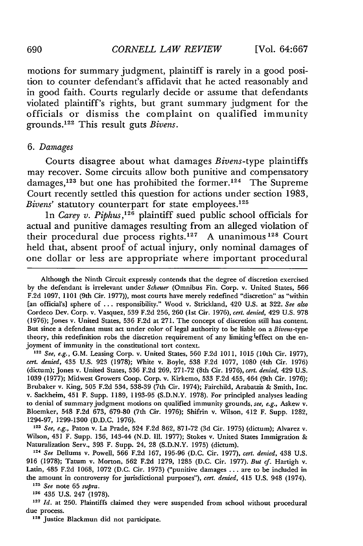motions for summary judgment, plaintiff is rarely in a good position to counter defendant's affidavit that he acted reasonably and in good faith. Courts regularly decide or assume that defendants violated plaintiff's rights, but grant summary judgment for the officials or dismiss the complaint on qualified immunity grounds.<sup>122</sup> This result guts *Bivens*.

#### *6. Damages*

Courts disagree about what damages *Bivens-type* plaintiffs may recover. Some circuits allow both punitive and compensatory damages,<sup>123</sup> but one has prohibited the former.<sup>124</sup> The Supreme Court recently settled this question for actions under section 1983, *Bivens'* statutory counterpart for state employees.<sup>125</sup>

In *Carey v. Piphus,'126* plaintiff sued public school officials for actual and punitive damages resulting from an alleged violation of their procedural due process rights.<sup>127</sup> A unanimous<sup>128</sup> Court held that, absent proof of actual injury, only nominal damages of one dollar or less are appropriate where important procedural

Although the Ninth Circuit expressly contends that the degree of discretion exercised by the defendant is irrelevant under Scheuer (Omnibus Fin. Corp. v. United States, 566 F.2d 1097, 1101 (9th Cir. 1977)), most courts have merely redefined "discretion" as "within [an official's] sphere of ... responsibility." Wood v. Strickland, 420 U.S. at 322. See also Cordeco Dev. Corp. v. Vasquez, 539 F.2d 256, 260 (1st Cir. 1976), cert. denied, 429 U.S. 978 (1976); Jones v. United States, 536 F.2d at 271. The concept of discretion still has content. But since a defendant must act under color of legal authority to be liable on a *Bivens-type* theory, this redefinition robs the discretion requirement of any limiting effect on the enjoyment of immunity in the constitutional tort context.

122 See, e.g., G.M. Leasing Corp. v. United States, 560 F.2d 1011, 1015 (10th Cir. 1977), cert. denied, 435 U.S. 923 (1978); White v. Boyle, 538 F.2d 1077, 1080 (4th Cir. 1976) (dictum); Jones v. United States, 536 F.2d 269, 271-72 (8th Cir. 1976), cert. *denied,* 429 U.S. 1039 (1977); Midwest Growers Coop. Corp. v. Kirkemo, 533 F.2d 455, 464 (9th Cir. 1976); Brubaker v. King, 505 F.2d 534, 538-39 (7th Cir. 1974); Fairchild, Arabatzis & Smith, Inc. v. Sackheim, 451 F. Supp. 1189, 1193-95 (S.D.N.Y. 1978). For principled analyses leading to denial of summary judgment motions on qualified immunity grounds, *see, e.g.,* Askew v. Bloemker, 548 F.2d 673, 679-80 (7th Cir. 1976); Shifrin v. Wilson, 412 F. Supp. 1282, 1294-97, 1299-1300 (D.D.C. 1976).

*<sup>123</sup>See,* e.g., Paton v. La Prade, 524 F.2d 862, 871-72 (3d Cir. 1975) (dictum); Alvarez v. Wilson, 431 F. Supp. 136, 143-44 (N.D. Il1. 1977); Stokes v. United States Immigration & Naturalization Serv., 393 F. Supp. 24, 28 (S.D.N.Y. 1975) (dictum).

*<sup>124</sup>*See Dellums v. Powell, **566** F.2d 167, 195-96 (D.C. Cir. 1977), cert. *denied,* 438 U.S. 916 (1978); Tatum v. Morton, 562 F.2d 1279, 1285 (D.C. Cir. 1977). *But cf.* Hartigh v. Latin, 485 F.2d 1068, 1072 (D.C. Cir. 1973) ("punitive damages ... are to **be** included in the amount in controversy for jurisdictional purposes"), *cert. denied,* 415 U.S. 948 (1974). *<sup>12</sup>See* note 65 *supra.*

**<sup>126</sup>**435 U.S. 247 (1978).

**127** *Id.* at 250. Plaintiffs claimed they were suspended from school without procedural due process.

**128** Justice Blackmun did not participate.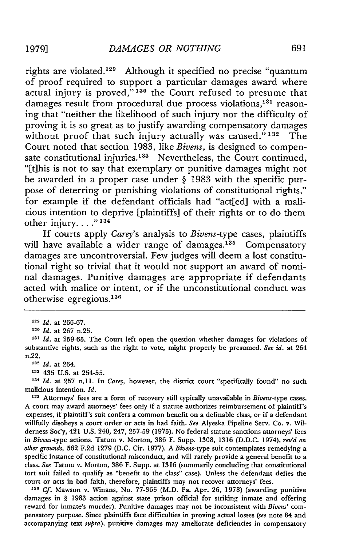rights are violated.<sup>129</sup> Although it specified no precise "quantum of proof required to support a particular damages award where actual injury is proved," **130** the Court refused to presume that damages result from procedural due process violations,<sup>131</sup> reasoning that "neither the likelihood of such injury nor the difficulty of proving it is so great as to justify awarding compensatory damages without proof that such injury actually was caused." **132** The Court noted that section 1983, like *Bivens,* is designed to compensate constitutional injuries.<sup>133</sup> Nevertheless, the Court continued, "[t]his is not to say that exemplary or punitive damages might not be awarded in a proper case under § 1983 with the specific purpose of deterring or punishing violations of constitutional rights," for example if the defendant officials had "act[ed] with a malicious intention to deprive [plaintiffs] of their rights or to do them other injury...."<sup>134</sup>

If courts apply *Carey's* analysis to *Bivens-type* cases, plaintiffs will have available a wider range of damages.<sup>135</sup> Compensatory damages are uncontroversial. Few judges will deem a lost constitutional right so trivial that it would not support an award of nominal damages. Punitive damages are appropriate if defendants acted with malice or intent, or if the unconstitutional conduct was otherwise egregious. <sup>136</sup>

**<sup>130</sup>***Id.* at 267 n.25.

**<sup>133</sup>**435 U.S. at 254-55.

134 *Id.* at 257 n.11. In *Carey*, however, the district court "specifically found" no such malicious intention. *Id.*

**<sup>135</sup>**Attorneys' fees are a form of recovery still typically unavailable in *Bivens-type* cases. A court may award attorneys' fees only if a statute authorizes reimbursement of plaintiff's expenses, if plaintiff's suit confers a common benefit on a definable class, or if a defendant willfully disobeys a court order or acts in bad faith. *See* Alyeska Pipeline Serv. Co. v. Wilderness Soc'y, 421 U.S. 240, 247, 257-59 (1975). No federal statute sanctions attorneys' fees in Bivens-type actions. Tatum v. Morton, 386 F. Supp. 1308, 1316 (D.D.C. 1974), *rev'd on other grounds,* **562** F.2d 1279 (D.C. Cir. 1977). A *Bivens-type* suit contemplates remedying a specific instance of constitutional misconduct, and will rarely provide a general benefit to a class. *See* Tatum v. Morton, 386 F. Supp. at 1316 (summarily concluding that constitutional tort suit failed to qualify as "benefit to the class" case). Unless the defendant defies the court or acts in bad faith, therefore, plaintiffs may not recover attorneys' fees.

**<sup>136</sup>**Cf. Mawson v. Winans, No. 77-365 (M.D. Pa. Apr. 26, 1978) (awarding punitive damages in § 1983 action against state prison official for striking inmate and offering reward for inmate's murder). Punitive damages may not be inconsistent with *Bivens'* compensatory purpose. Since plaintiffs face difficulties in proving actual losses *(see* note 84 and accompanying text *supra),* punitive damages may ameliorate deficiencies in compensatory

**<sup>129</sup>***Id.* at 266-67.

**<sup>131</sup>***Id.* at 259-65. The Court left open the question whether damages for violations of substantive rights, such as the right to vote, might properly be presumed. *See id.* at 264 n.22.

**<sup>132</sup>***Id.* at 264.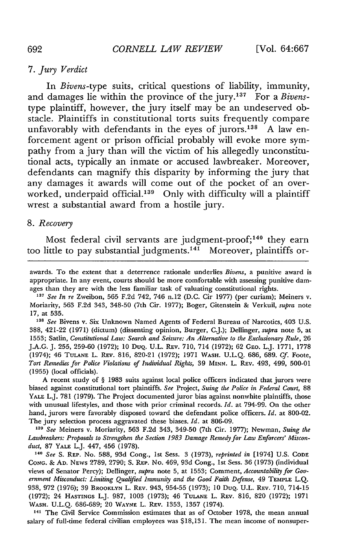# 7. *Jury Verdict*

In *Bivens-type* suits, critical questions of liability, immunity, and damages lie within the province of the jury. 137 For a *Bivens*type plaintiff, however, the jury itself may be an undeserved obstacle. Plaintiffs in constitutional torts suits frequently compare unfavorably with defendants in the eyes of jurors. $138$  A law enforcement agent or prison official probably will evoke more sympathy from a jury than will the victim of his allegedly unconstitutional acts, typically an inmate or accused lawbreaker. Moreover, defendants can magnify this disparity by informing the jury that any damages it awards will come out of the pocket of an overworked, underpaid official.<sup>139</sup> Only with difficulty will a plaintiff wrest a substantial award from a hostile jury.

#### *8. Recovery*

Most federal civil servants are judgment-proof;<sup>140</sup> they earn too little to pay substantial judgments.<sup>141</sup> Moreover, plaintiffs or-

awards. To the extent that a deterrence rationale underlies *Bivens,* a punitive award is appropriate. In any event, courts should be more comfortable with assessing punitive damages than they are with the less familiar task of valuating constitutional rights.

**137** *See In re* Zweibon, 565 F.2d 742, 746 n.12 (D.C. Cir 1977) (per curiam); Meiners v. Moriarity, 563 F.2d 343, 348-50 (7th Cir. 1977); Boger, Gitenstein & Verkuil, *supra* note 17, at 535.

*<sup>38</sup>See* Bivens v. Six Unknown Named Agents of Federal Bureau of Narcotics, 403 U.S. 388, 421-22 (1971) (dictum) (dissenting opinion, Burger, C.J.); Dellinger, *supra* note 5, at 1553; Satlin, *Constitutional Law: Search and Seizure: An Alternative to the Exclusionary Rule,* 26 J.A.G. J. 255, 259-60 (1972); 10 DuQ. U.L. REV. 710, 714 (1972); 62 GEo. L.J. 1771, 1778 (1974); 46 TULANE L. REV. 816, 820-21 (1972); 1971 WASH. U.L.Q. 686, 689. *Cf.* Foote, *Tort Remedies for Police Violations of Individual Rights,* 39 **MINN.** L. REv. 493, 499, 500-01 (1955) (local officials).

A recent study of § 1983 suits against local police officers indicated that jurors were biased against constitutional tort plaintiffs. *See* Project, *Suing the Police in Federal Court,* 88 YALE L.J. 781 (1979). The Project documented juror bias against nonwhite plaintiffs, those with unusual lifestyles, and those with prior criminal records. *Id.* at 794-99. On the other hand, jurors were favorably disposed toward the defendant police officers. *Id.* at 800-02. The jury selection process aggravated these biases. *Id.* at 806-09.

*<sup>139</sup>See* Meiners v. Moriarity, 563 F.2d 343, 349-50 (7th Cir. 1977); Newman, *Suing the Lawbreakers: Proposals to Strengthen the Section 1983 Damage Remedy for Law Enforcers' Misconduct,* 87 **YALE** L.J. 447, 456 (1978).

**<sup>140</sup>***See* S. **REP.** No. 588, 93d Cong., 1st Sess. 3 (1973), *reprinted in* [1974] U.S. **CODE CONG.** & **AD.** NEws 2789, 2790; **S. REP.** No. 469, 93d Cong., 1st Sess. 36 (1973) (individual views of Senator Percy); Dellinger, *supra* note 5, at 1553; Comment, *Accountability for Government Misconduct: Limiting Qualifled Immunity and the Good Faith Defense,* 49 **TEMPLE** L.Q. 938, 972 (1976); 39 BROOKLYN L. REV. 943, 954-55 (1973); 10 DuQ. U.L. REv. 710, 714-15 (1972); 24 HASTINGS L.J. 987, 1003 (1973); 46 TULANE L. REV. 816, 820 (1972); 1971 WASH. U.L.Q. 686-689; 20 WAYNE L. REV. 1353, 1357 (1974).

<sup>141</sup>The Civil Service Commission estimates that as of October 1978, the mean annual salary of full-time federal civilian employees was \$18,131. The mean income of nonsuper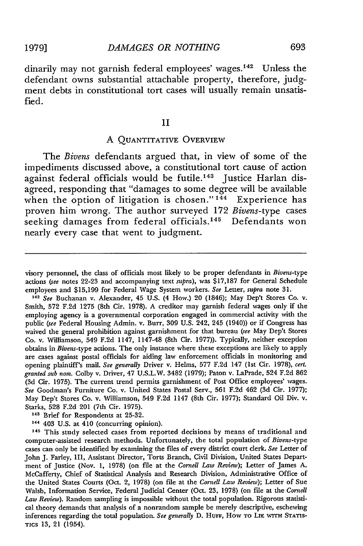dinarily may not garnish federal employees' wages.<sup>142</sup> Unless the defendant owns substantial attachable property, therefore, judgment debts in constitutional tort cases will usually remain unsatisfied.

#### II

#### **A QUANTITATIVE** OVERVIEW

The *Bivens* defendants argued that, in view of some of the impediments discussed above, a constitutional tort cause of action against federal officials would be futile.<sup>143</sup> Justice Harlan disagreed, responding that "damages to some degree will be available when the option of litigation is chosen." **144** Experience has proven him wrong. The author surveyed **172** *Bivens-type* cases seeking damages from federal officials.<sup>145</sup> Defendants won nearly every case that went to judgment.

**<sup>142</sup>***See* Buchanan v. Alexander, 45 U.S. (4 How.) 20 (1846); May Dep't Stores Co. v. Smith, 572 F.2d 1275 (8th Cir. 1978). A creditor may garnish federal wages only if the employing agency is a governmental corporation engaged in commercial activity with the public *(see* Federal Housing Admin. v. Burr, **309** U.S. 242, 245 (1940)) or if Congress has waived the general prohibition against garnishment for that bureau *(see* May Dep't Stores Co. v. Williamson, 549 F.2d 1147, 1147-48 (8th Cir. 1977)). Typically, neither exception obtains in Bivens-type actions. The only instance where these exceptions are likely to apply are cases against postal officials for aiding law enforcement officials in monitoring and opening plaintiff's mail. *See generally* Driver v. Helms, 577 F.2d 147 (1st Cir. 1978), *cert. granted sub noa.* Colby v. Driver, 47 U.S.L.W. 3482 (1979); Paton v. LaPrade, 524 F.2d 862 (3d Cir. 1975). The current trend permits garnishment of Post Office employees' wages. *See* Goodman's Furniture Co. v. United States Postal Serv., 561 F.2d 462 (3d Cir. 1977); May Dep't Stores Co. v. Williamson, 549 F.2d 1147 (8th Cir. 1977); Standard Oil Div. v. Starks, **528** F.2d 201 (7th Cir. 1975).

<sup>143</sup> Brief for Respondents at 25-32.

**<sup>145</sup>**This study selected cases from reported decisions by means of traditional and computer-assisted research methods. Unfortunately, the total population of *Bivens-type* cases can only be identified by examining the files of every district court clerk. *See* Letter of John J. Farley, III, Assistant Director, Torts Branch, Civil Division, United States Department of Justice (Nov. 1, 1978) (on file at the *Cornell Law Review);* Letter of James A. McCafferty, Chief of Statistical Analysis and Research Division, Administrative Office of the United States Courts (Oct. 2, 1978) (on file at the *Cornell Law Review);* Letter of Sue Walsh, Information Service, Federal Judicial Center (Oct. **23,** 1978) (on file at the *Cornell Law Review).* Random sampling is impossible without the total population. Rigorous statistical theory demands that analysis of a nonrandom sample be merely descriptive, eschewing inferences regarding the total population. *See generally* D. HuFF, How TO **LIE WITH STATIS-TICS 13,** 21 (1954).

visory personnel, the class of officials most likely to be proper defendants in Bivens-type actions (see notes 22-23 and accompanying text *supra),* was \$17,187 for General Schedule employees and \$15,199 for Federal Wage System workers. *See* Letter, *supra* note 31.

**<sup>144</sup>**403 U.S. at 410 (concurring opinion).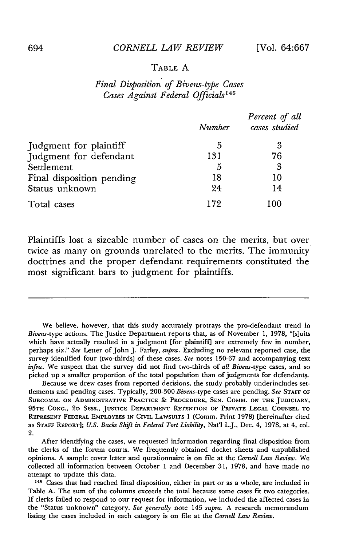#### *CORNELL LAW REVIEW* [Vol. **64:667**

#### TABLE **A**

# *Final Disposition of Bivens-type Cases Cases Against Federal Officials1 <sup>46</sup>*

|                           | Number | Percent of all<br>cases studied |
|---------------------------|--------|---------------------------------|
| Judgment for plaintiff    | 5      | 3                               |
| Judgment for defendant    | 131    | 76                              |
| Settlement                | 5      | 3                               |
| Final disposition pending | 18     | 10                              |
| Status unknown            | 24     | 14                              |
| Total cases               | 172    | 100                             |

Plaintiffs lost a sizeable number of cases on the merits, but over twice as many on grounds unrelated to the merits. The immunity doctrines and the proper defendant requirements constituted the most significant bars to judgment for plaintiffs.

We believe, however, that this study accurately protrays the pro-defendant trend in *Bivens-type* actions. The Justice Department reports that, as of November 1, 1978, "[s]uits which have actually resulted in a judgment [for plaintiff] are extremely few in number, perhaps six." *See* Letter of John J. Farley, *supra.* Excluding no relevant reported case, the survey identified four (two-thirds) of these cases. *See* notes 150-67 and accompanying text *infra.* We suspect that the survey did not find two-thirds of *all Bivens-type* cases, and so picked up a smaller proportion of the total population than of judgments for defendants.

Because we drew cases from reported decisions, the study probably underincludes settlements and pending cases. Typically, 200-300 *Bivens-type* cases are pending. *See* STAFF OF SUBCOMM. ON ADMINISTRATIVE PRACTICE **&** PROCEDURE, **SEN.** COMM. **ON** THE JUDICIARY, **95TH CONG., 2D SESS.,** JUSTICE DEPARTMENT **RETENTION** OF PRIVATE LEGAL **COUNSEL** TO REPRESENT FEDERAL EMPLOYEES **IN** CIVIL LAWSUITS 1 (Comm. Print **1978)** [hereinafter cited as STAFF REPORT]; *U.S. Backs* Shift *in Federal Tort Liability,* Nat'l L.J., Dec. 4, **1978,** at 4, col. 2.

After identifying the cases, we requested information regarding final disposition from the clerks of the forum courts. We frequently obtained docket sheets and unpublished opinions. A sample cover letter and questionnaire is on file at the *Cornell Law Review.* We collected all information between October 1 and December 31, 1978, and have made no attempt to update this data.

<sup>146</sup> Cases that had reached final disposition, either in part or as a whole, are included in Table **A.** The sum of the columns exceeds the total because some cases fit two categories. If clerks failed to respond to our request for information, we included the affected cases in the "Status unknown" category. *See generally* note 145 *supra.* A research memorandum listing the cases included in each category is on file at the *Cornell Law Review.*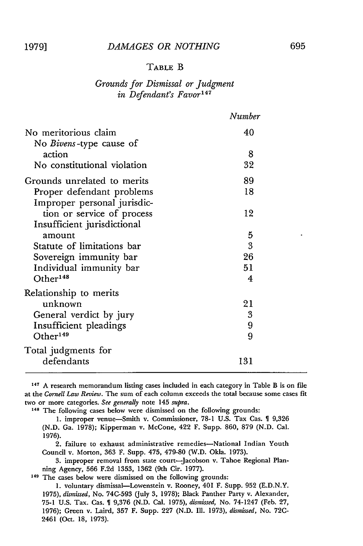#### TABLE B

# *Grounds for Dismissal or Judgment in Defendant's Favor <sup>4</sup> '*

|                                                           | Number |
|-----------------------------------------------------------|--------|
| No meritorious claim<br>No <i>Bivens</i> -type cause of   | 40     |
| action                                                    | 8      |
| No constitutional violation                               | 32     |
| Grounds unrelated to merits                               | 89     |
| Proper defendant problems<br>Improper personal jurisdic-  | 18     |
| tion or service of process<br>Insufficient jurisdictional | 12     |
| amount                                                    | 5      |
| Statute of limitations bar                                | 3      |
| Sovereign immunity bar                                    | 26     |
| Individual immunity bar                                   | 51     |
| Other <sup>148</sup>                                      | 4      |
| Relationship to merits                                    |        |
| unknown                                                   | 21     |
| General verdict by jury                                   | 3      |
| Insufficient pleadings                                    | 9      |
| Other <sup>149</sup>                                      | 9      |
| Total judgments for                                       |        |
| defendants                                                | 131    |

**<sup>147</sup>**A research memorandum listing cases included in each category in Table B is on file at the *Cornell Law Review.* The sum of each column exceeds the total because some cases fit two or more categories. *See generally* note 145 *supra.*

**<sup>148</sup>**The following cases below were dismissed on the following grounds:

1. improper venue-Smith v. Commissioner, 78-1 U.S. Tax Cas. 1 9,326 (N.D. Ga. 1978); Kipperman v. McCone, 422 F. Supp. 860, 879 (N.D. Cal. 1976).

2. failure to exhaust administrative remedies-National Indian Youth Council v. Morton, 363 F. Supp. 475, 479-80 (W.D. Okla. 1973).

3. improper removal from state court-Jacobson v. Tahoe Regional Planning Agency, 566 F.2d 1353, 1362 (9th Cir. 1977).

**<sup>149</sup>**The cases below were dismissed on the following grounds:

1. voluntary dismissal-Lowenstein v. Rooney, 401 F. Supp. **952** (E.D.N.Y. 1975), *dismissed,* No. **74C-593** (July **3,** 1978); Black Panther Party v. Alexander, **75-1** U.S. Tax. Cas. 9,376 (N.D. Cal. 1975), *dismissed,* No. 74-1247 (Feb. **27,** 1976); Green v. Laird, **357** F. Supp. **227** (N.D. Ill. 1973), *dismissed,* No. **72C-**2461 (Oct. 18, 1973).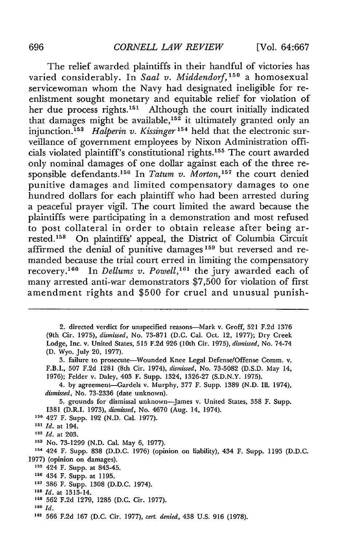The relief awarded plaintiffs in their handful of victories has varied considerably. In *Saal v. Middendorf,'5"* a homosexual servicewoman whom the Navy had designated ineligible for reenlistment sought monetary and equitable relief for violation of her due process rights.<sup>151</sup> Although the court initially indicated that damages might be available,<sup>152</sup> it ultimately granted only an injunction.<sup>153</sup> *Halperin v. Kissinger*<sup>154</sup> held that the electronic surveillance of government employees by Nixon Administration officials violated plaintiff's constitutional rights.<sup>155</sup> The court awarded only nominal damages of one dollar against each of the three responsible defendants.<sup>156</sup> In *Tatum v. Morton*,<sup>157</sup> the court denied punitive damages and limited compensatory damages to one hundred dollars for each plaintiff who had been arrested during a peaceful prayer vigil. The court limited the award because the plaintiffs were participating in a demonstration and most refused to post collateral in order to obtain release after being arrested.<sup>158</sup> On plaintiffs' appeal, the District of Columbia Circuit affirmed the denial of punitive damages<sup>159</sup> but reversed and remanded because the trial court erred in limiting the compensatory recovery.<sup>160</sup> In *Dellums v. Powell*,<sup>161</sup> the jury awarded each of many arrested anti-war demonstrators \$7,500 for violation of first amendment rights and \$500 for cruel and unusual punish-

2. directed verdict for unspecified reasons-Mark v. Groff, 521 F.2d 1376 (9th Cir. 1975), *dismissed,* No. 73-871 (D.C. Cal. Oct. 12, 1977); Dry Creek Lodge, Inc. v. United States, 515 F.2d 926 (10th Cir. 1975), *dismissed,* No. 74-74 (D. Wyo. July 20, 1977).

3. failure to prosecute-Wounded Knee Legal Defense/Offense Comm. v. F.B.I., **507** F.2d 1281 (8th Cir. 1974), *dismissed,* No. 73-5082 (D.S.D. May 14, 1976); Felder v. Daley, 403 F. Supp. 1324, 1326-27 (S.D.N.Y. 1975).

4. by agreement-Gardels v. Murphy, 377 F. Supp. 1389 (N.D. Ill. 1974), *dismissed,* No. 73-2336 (date unknown).

5. grounds for dismissal unknown-James v. United States, 358 F. Supp. 1381 (D.R.I. 1973), *dismissed,* No. 4670 (Aug. 14, 1974).

**<sup>150</sup>**427 F. Supp. 192 (N.D. Cal. 1977).

- **<sup>151</sup>***Id.* at 194.
- **<sup>152</sup>***Id.* at 203.
- **<sup>153</sup>**No. 73-1299 (N.D. Cal. May 6, 1977).

<sup>154</sup>424 F. Supp. 838 (D.D.C. 1976) (opinion on liability), 434 F. Supp. 1193 (D.D.C. 1977) (opinion on damages).

- **<sup>155</sup>**424 F. Supp. at 843-45.
- **156** 434 F. Supp. at 1195.
- <sup>157</sup> 386 F. Supp. 1308 (D.D.C. 1974).
- **<sup>158</sup>***Id.* at 1313-14.
- **159 562** F.2d 1279, 1285 (D.C. Cir. 1977).
- **160** *Id.*
- **1' 566** F.2d 167 (D.C. Cir. 1977), *cert. denied,* 438 U.S. 916 (1978).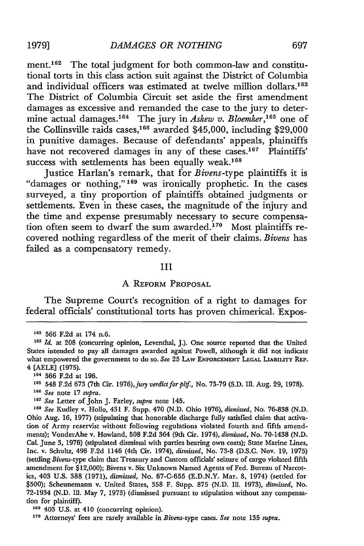ment.<sup>162</sup> The total judgment for both common-law and constitutional torts in this class action suit against the District of Columbia and individual officers was estimated at twelve million dollars.<sup>163</sup> The District of Columbia Circuit set aside the first amendment damages as excessive and remanded the case to the jury to determine actual damages.<sup>164</sup> The jury in *Askew v. Bloemker*,<sup>165</sup> one of the Collinsville raids cases,<sup>166</sup> awarded \$45,000, including \$29,000 in punitive damages. Because of defendants' appeals, plaintiffs have not recovered damages in any of these cases.<sup>167</sup> Plaintiffs' success with settlements has been equally weak.<sup>168</sup>

Justice Harlan's remark, that for *Bivens-type* plaintiffs it is "damages or nothing,"<sup>169</sup> was ironically prophetic. In the cases surveyed, a tiny proportion of plaintiffs obtained judgments or settlements. Even in these cases, the magnitude of the injury and the time and expense presumably necessary to secure compensation often seem to dwarf the sum awarded.<sup>170</sup> Most plaintiffs recovered nothing regardless of the merit of their claims. *Bivens* has failed as a compensatory remedy.

#### III

## A REFORM PROPOSAL

The Supreme Court's recognition of a right to damages for federal officials' constitutional torts has proven chimerical. Expos-

- **166** *See* note 17 supra.
- **167** *See* Letter of John J. Farley, *supra* note 145.

**<sup>168</sup>***See* Kudley v. Hollo, 431 F. Supp. 470 (N.D. Ohio 1976), *dismissed,* No. 76-838 (N.D. Ohio Aug. 16, 1977) (stipulating that honorable discharge fully satisfied claim that activation of Army reservist without following regulations violated fourth and fifth amendments); VonderAhe v. Howland, 508 F.2d 364 (9th Cir. 1974), *dismissed,* No. 70-1438 (N.D. Cal. June 3, 1976) (stipulated dismissal with parties bearing own costs); State Marine Lines, Inc. v. Schultz, 498 F.2d 1146 (4th Cir. 1974), *dismissed,* No. 73-8 (D.S.C. Nov. 19, 1975) (settling *Bivens-type* claim that Treasury and Custom officials' seizure of cargo violated fifth amendment for \$12,000); Bivens v. Six Unknown Named Agents of Fed. Bureau of Narcotics, 403 U.S. 388 (1971), *dismissed,* No. 67-C-655 (E.D.N.Y. Mar. 8, 1974) (settled for \$500); Scheunemann v. United States, 358 F. Supp. 875 (N.D. Ill. 1973), *dismissed,* No. 72-1934 (N.D. Ill. May 7, 1973) (dismissed pursuant to stipulation without any compensation for plaintiff).

**169** 403 U.S. at 410 (concurring opinion).

**170** Attorneys' fees are rarely available in Bivens-type cases. *See* note 135 *supra.*

**<sup>162</sup>**566 F.2d at 174 n.6.

**<sup>163</sup>***Id.* at 208 (concurring opinion, Leventhal, J.). One source reported that the United States intended to pay all damages awarded against Powell, although it did not indicate what empowered the government to do so. See 25 LAW ENFORCEMENT LEGAL LIABILITY REP. 4 [AELE] (1975).

**<sup>164</sup>**566 F.2d at 196.

**<sup>165</sup>** 548 F.2d 673 (7th Cir. 1976),jury *verdictforpltf,* No. 73-79 (S.D. Ill. Aug. 29, 1978).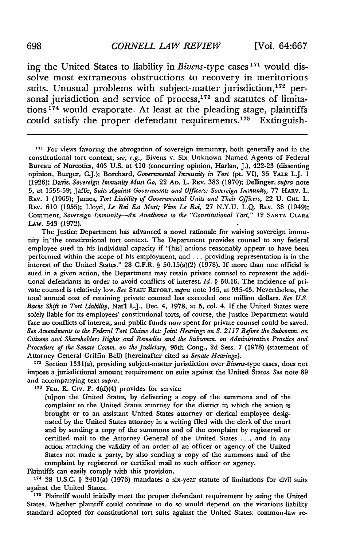ing the United States to liability in *Bivens-type* cases **171** would dissolve most extraneous obstructions to recovery in meritorious suits. Unusual problems with subject-matter jurisdiction,<sup>172</sup> personal jurisdiction and service of process,<sup>173</sup> and statutes of limitations<sup>174</sup> would evaporate. At least at the pleading stage, plaintiffs could satisfy the proper defendant requirements.<sup>175</sup> Extinguish-

<sup>171</sup> For views favoring the abrogation of sovereign immunity, both generally and in the constitutional tort context, *see, e.g.,* Bivens v. Six Unknown Named Agents of Federal Bureau of Narcotics, 403 U.S. at 410 (concurring opinion, Harlan, J.), 422-23 (dissenting opinion, Burger, C.J.); Borchard, *Governmental Immunity in Tort* (pt. VI), 36 **YALE** L.J. I (1926); Davis, *Sovereign Immunity Must Go,* 22 **AD.** L. REv. 383 (1970); Dellinger, *supra* note **5,** at 1553-59; Jaffe, *Suits Against Governments and Officers: Sovereign Immunity,* 77 HARV. L. REV. 1 (1963); James, *Tort Liability of Governmental Units and Their Officers,* 22 U. CHt. L. REv. 610 (1955); Lloyd, *Le Roi Est Mort; Vive Le Roi,* 27 N.Y.U. L.Q. REv. 38 (1949); Comment, *Sovereign Immunity-An Anathema to the "Constitutional Tort,"* 12 **SANTA CLARA** LAw. 543 (1972).

The Justice Department has advanced a novel rationale for waiving sovereign immunity in the constitutional tort context. The Department provides counsel to any federal employee sued in his individual capacity if "[his] actions reasonably appear to have been performed within the scope of his employment, and ... providing representation is in the interest of the United States." 28 C.F.R. § 50.15(a)(2) (1978). If more than one official is sued in a given action, the Department may retain private counsel to represent the additional defendants in order to avoid conflicts of interest. *Id.* § 50.16. The incidence of private counsel is relatively low. *See* **STAFF REPORT,** *supra* note 145, at 935-43. Nevertheless, the total annual cost of retaining private counsel has exceeded one million dollars. *See U.S. Backs Shift in Tort Liability,* Nat'l L.J., Dec. 4, 1978, at 5, col. 4. If the United States were solely liable for its employees' constitutional torts, of course, the Justice Department would face no conflicts of interest, and public funds now spent for private counsel could be saved. *See Amendments to the Federal Tort Claims Act: Joint Hearings on S. 2117 Before the Subcomm. on Citizens and Shareholders Rights and Remedies and the Subcomm. on Administrative Practice and Procedure of the Senate Comm. on the Judiciary,* 95th Cong., 2d Sess. 7 (1978) (statement of Attorney General Griffin Bell) [hereinafter cited as *Senate Hearings].*

<sup>172</sup> Section 1331(a), providing subject-matter jurisdiction over Bivens-type cases, does not impose a jurisdictional amount requirement on suits against the United States. *See* note 89 and accompanying text supra.

**173 FED.** R. Civ. P. 4(d)(4) provides for service

[u]pon the United States, by delivering a copy of the summons and of the complaint to the United States attorney for the district in which the action is brought or to an assistant United States attorney or clerical employee designated by the United States attorney in a writing filed with the clerk of the court and by sending a copy of the summons and of the complaint by registered or certified mail to the Attorney General of the United States ... , and in any action attacking the validity of an order of an officer or agency of the United States not made a party, by also sending a copy of the summons and of the complaint by registered or certified mail to such officer or agency.

Plaintiffs can easily comply with this provision.

174 28 U.S.C. § 2401(a) (1976) mandates a six-year statute of limitations for civil suits against the United States.

175 Plaintiff would initially meet the proper defendant requirement by suing the United States. Whether plaintiff could continue to do so would depend on the vicarious liability standard adopted for constitutional tort suits against the United States: common-law re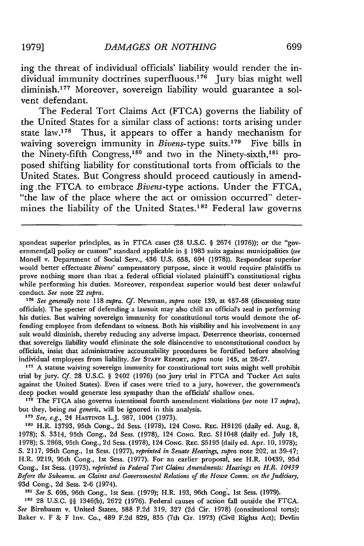ing the threat of individual officials' liability would render the individual immunity doctrines superfluous.<sup>176</sup> Jury bias might well diminish.<sup>177</sup> Moreover, sovereign liability would guarantee a solvent defendant.

The Federal Tort Claims Act (FTCA) governs the liability of the United States for a similar class of actions: torts arising under state law.<sup>178</sup> Thus, it appears to offer a handy mechanism for waiving sovereign immunity in *Bivens*-type suits.<sup>179</sup> Five bills in the Ninety-fifth Congress,<sup>180</sup> and two in the Ninety-sixth,<sup>181</sup> proposed shifting liability for constitutional torts from officials to the United States. But Congress should proceed cautiously in amending the FTCA to embrace *Bivens-type* actions. Under the FTCA, "the law of the place where the act or omission occurred" determines the liability of the United States.<sup>182</sup> Federal law governs

spondeat superior principles, as in FTCA cases (28 U.S.C. § 2674 (1976)); or the "government[al] policy or custom" standard applicable in § 1983 suits against municipalities (see Monell v. Department of Social Serv., 436 U.S. 658, 694 (1978)). Respondeat superior would better effectuate *Bivens'* compensatory purpose, since it would require plaintiffs to prove nothing more than that a federal official violated plaintiff's constitutional rights while performing his duties. Moreover, respondeat superior would best deter unlawful conduct. *See* note 22 *supra.*

**<sup>176</sup>***See generally* note 118 *supra. Cf.* Newman, *supra* note 139, at 457-58 (discussing state officials). The specter of defending a lawsuit may also chill an official's zeal in performing his duties. But waiving sovereign immunity for constitutional torts would demote the offending employee from defendant to witness. Both his visibility and his involvement in any suit would diminish, thereby reducing any adverse impact. Deterrence theorists, concerned that sovereign liability would eliminate the sole disincentive to unconstitutional conduct by officials, insist that administrative accountability procedures be fortified before absolving individual employees from liability. *See* **STAFF** REPORT, *supra* note 145, at 26-27.

**<sup>177</sup>**A statute waiving sovereign immunity for constitutional tort suits might well prohibit trial by jury. *Cf.* 28 U.S.C. § 2402 (1976) (no jury trial in FTCA and Tucker Act suits against the United States). Even if cases were tried to a jury, however, the government's deep pocket would generate less sympathy than the officials' shallow ones.

**<sup>178</sup>**The FTCA also governs intentional fourth amendment violations *(see* note 17 supra), but they, being *sui generis,* will be ignored in this analysis.

**179** *See, e.g.,* 24 HASTINGS L.J. 987, 1004 (1973).

**<sup>180</sup>**H.R. 13793, 95th Cong., 2d Sess. (1978), 124 **CONG.** REC. H8126 (daily ed. Aug. 8, 1978); **S.** 3314, 95th Cong., 2d Sess. (1978), 124 **CONG.** REc. Si1048 (daily ed. July **18,** 1978); **S.** 2868, 95th Cong., 2d Sess. (1978), 124 **CONG.** REc. **S5193** (daily ed. Apr. **10,** 1978); **S.** 2117, 95th Cong., 1st Sess. (1977), *reprinted in Senate Hearings, supra* note 202, at 39-47; H.R. 9219, 95th Cong., Ist Sess. (1977). For an earlier proposal, see H.R. 10439, 93d Cong., ist Sess. (1973), *reprinted in Federal Tort Claims Amendments: Hearings on H.R. 10439 Before the Subcomm. on Claims and Governmental Relations of the House Comm. on the Judiciary,* 93d Cong., 2d Sess. 2-6 (1974).

*181 See* **S.** 695, 96th Cong., 1st Sess. (1979); H.R. 193, 96th Cong., 1st Sess. (1979).

**<sup>182</sup>**28 U.S.C. §§ 1346(b), 2672 (1976). Federal causes of action fall outside the FTCA. *See* Birnbaum v. United States, 588 F.2d 319, 327 (2d Cir. 1978) (constitutional torts); Baker v. F & F Inv. Co., 489 F.2d 829, 835 (7th Cir. 1973) (Civil Rights Act); Devlin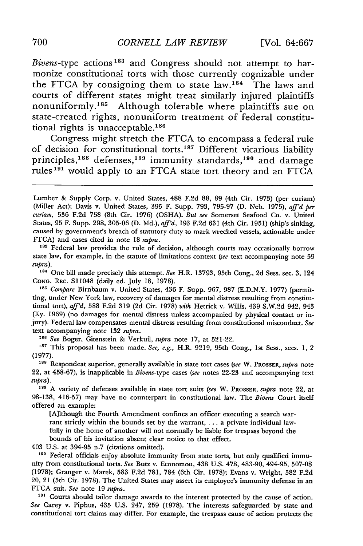*Bivens-type* actions 183 and Congress should not attempt to harmonize constitutional torts with those currently cognizable under the FTCA by consigning them to state law.<sup>184</sup> The laws and courts of different states might treat similarly injured plaintiffs nonuniformly. 185 Although tolerable where plaintiffs sue on state-created rights, nonuniform treatment of federal constitutional rights is unacceptable.<sup>186</sup>

Congress might stretch the FTCA to encompass a federal rule of decision for constitutional torts.<sup>187</sup> Different vicarious liability principles,<sup>188</sup> defenses,<sup>189</sup> immunity standards,<sup>190</sup> and damage rules<sup>191</sup> would apply to an FTCA state tort theory and an FTCA

**<sup>183</sup>**Federal law provides the rule of decision, although courts may occasionally borrow state law, for example, in the statute of limitations context *(see* text accompanying note 59 *supra).*

**<sup>184</sup>**One bill made precisely this attempt. *See* H.R. 13793, 95th Cong., 2d Sess. sec. 3, 124 CONG. REC. S11048 (daily ed. July 18, 1978).

**185** *Compare* Birnbaum v. United States, 436 F. Supp. 967, 987 (E.D.N.Y. 1977) (permitting, under New York law, recovery of damages for mental distress resulting from constitutional tort), *aff'd,* 588 F.2d 319 (2d Cir. 1978) *with* Hetrick v. Willis, 439 S.W.2d 942, 943 (Ky. 1969) (no damages for mental distress unless accompanied by physical contact or injury). Federal law compensates mental distress resulting from constitutional misconduct. *See* text accompanying note 132 *supra.*

**<sup>18</sup>***See* Boger, Gitenstein & Verkuil, *supra* note 17, at 521-22.

**187** This proposal has been made. *See, e.g.,* H.R. 9219, 95th Cong., 1st Sess., secs. 1, 2 (1977).

**<sup>188</sup>**Respondeat superior, generally available in state tort cases *(see* W. PROSSER, *supra* note 22, at 458-67), is inapplicable in Bivens-type cases *(see* notes 22-23 and accompanying text *supra).*

**<sup>18</sup>**A variety of defenses available in state tort suits *(see* W. PROSSER, *supra* note 22, at 98-138, 416-57) may have no counterpart in constitutional law. The *Bivens* Court itself offered an example:

[Allthough the Fourth Amendment confines an officer executing a search warrant strictly within the bounds set by the warrant, ... a private individual lawfully in the home of another will not normally be liable for trespass beyond the bounds of his invitation absent clear notice to that effect.

403 U.S. at 394-95 n.7 (citations omitted).

**190** Federal officials enjoy absolute immunity from state torts, but only qualified immunity from constitutional torts. *See* Butz v. Economou, 438 U.S. 478, 483-90, 494-95, 507-08 (1978); Granger v. Marek, 583 F.2d 781, 784 (6th Cir. 1978); Evans v. Wright, 582 F.2d 20, 21 (5th Cir. 1978). The United States may assert its employee's immunity defense in an FTCA suit. *See* note 19 *supra.*

**191** Courts should tailor damage awards to the interest protected by the cause of action. *See* Carey v. Piphus, 435 U.S. 247, 259 (1978). The interests safeguarded by state and constitutional tort claims may differ. For example, the trespass cause of action protects the

Lumber & Supply Corp. v. United States, 488 F.2d 88, 89 (4th Cir. 1973) (per curiam) (Miller Act); Davis v. United States, 395 F. Supp. 793, 795-97 (D. Neb. 1975), *aff'd per curiam,* 536 F.2d 758 (8th Cir. 1976) (OSHA). *But see* Somerset Seafood Co. v. United States, 95 F. Supp. 298, 305-06 (D. Md.), *aff'd,* 193 F.2d 631 (4th Cir. 1951) (ship's sinking, caused by government's breach of statutory duty to mark wrecked vessels, actionable under FTCA) and cases cited in note 18 *supra.*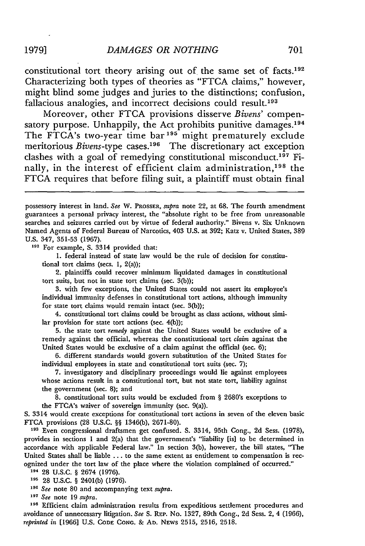constitutional tort theory arising out of the same set of facts.<sup>192</sup> Characterizing both types of theories as "FTCA claims," however, might blind some judges and juries to the distinctions; confusion, fallacious analogies, and incorrect decisions could result.<sup>193</sup>

Moreover, other FTCA provisions disserve *Bivens'* compensatory purpose. Unhappily, the Act prohibits punitive damages.<sup>194</sup> The FTCA's two-year time bar<sup>195</sup> might prematurely exclude meritorious *Bivens-type* cases.<sup>196</sup> The discretionary act exception clashes with a goal of remedying constitutional misconduct.<sup>197</sup> Finally, in the interest of efficient claim administration,<sup>198</sup> the FTCA requires that before filing suit, a plaintiff must obtain final

**<sup>192</sup>**For example, **S.** 3314 provided that:

**1.** federal instead of state law would be the rule of decision for constitutional tort claims (secs. **1,** 2(a));

2. plaintiffs could recover minimum liquidated damages in constitutional tort suits, but not in state tort claims (sec.  $3(b)$ );

**3.** with few exceptions, the United States could not assert its employee's individual immunity defenses in constitutional tort actions, although immunity for state tort claims would remain intact (sec. 3(b));

4. constitutional tort claims could be brought as class actions, without similar provision for state tort actions (sec. 4(b));

**5.** the state tort *remedy* against the United States would be exclusive of a remedy against the official, whereas the constitutional tort *claim* against the United States would be exclusive of a claim against the official (sec. 6);

6. different standards would govern substitution of the United States for individual employees in state and constitutional tort suits (sec. 7);

7. investigatory and disciplinary proceedings would lie against employees whose actions result in a constitutional tort, but not state tort, liability against the government (sec. 8); and

8. constitutional tort suits would be excluded from § 2680's exceptions to the FTCA's waiver of sovereign immunity (sec. 9(a)).

**S.** 3314 would create exceptions for constitutional tort actions in seven of the eleven basic FTCA provisions **(28** U.S.C. §§ 1346(b), 2671-80).

**<sup>191</sup>**Even congressional draftsmen get confused. **S.** 3314, 95th Cong., **2d** Sess. (1978), provides in sections 1 and 2(a) that the government's "liability [is] to be determined in accordance with applicable Federal law." In section 3(b), however, the bill states, "The United States shall be liable **...** to the same extent as entitlement to compensation is recognized under the tort law of the place where the violation complained of occurred."

**<sup>194</sup>**28 U.S.C. § 2674 (1976).

**<sup>195</sup>**28 U.S.C. § 2401(b) (1976).

**<sup>196</sup>***See* note 80 and accompanying text *supra.*

**<sup>197</sup>***See* note 19 *supra.*

<sup>198</sup> Efficient claim administration results from expeditious settlement procedures and avoidance of unnecessary litigation. *See* S. RxP. No. 1327, 89th Cong., 2d Sess. 2, 4 (1966), *reprinted in* [1966] U.S. CODE CONG. & **AD.** NEws 2515, 2516, 2518.

possessory interest in land. *See* W. PROSSER, *supra* note 22, at **68.** The fourth amendment guarantees a personal privacy interest, the "absolute right to be free from unreasonable searches and seizures carried out by virtue of federal authority." Bivens v. Six Unknown Named Agents of Federal Bureau of Narcotics, 403 U.S. at 392; Katz v. United States, 389 **U.S.** 347, 351-53 **(1967).**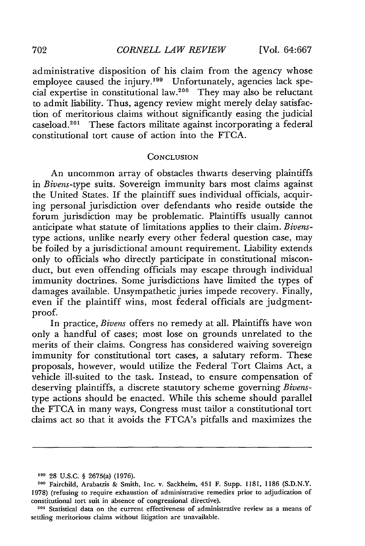administrative disposition of his claim from the agency whose employee caused the injury.<sup>199</sup> Unfortunately, agencies lack special expertise in constitutional law.<sup>200</sup> They may also be reluctant to admit liability. Thus, agency review might merely delay satisfaction of meritorious claims without significantly easing the judicial caseload. 201 These factors militate against incorporating a federal constitutional tort cause of action into the FTCA.

#### CONCLUSION

An uncommon array of obstacles thwarts deserving plaintiffs in *Bivens-type* suits. Sovereign immunity bars most claims against the United States. If the plaintiff sues individual officials, acquiring personal jurisdiction over defendants who reside outside the forum jurisdiction may be problematic. Plaintiffs usually cannot anticipate what statute of limitations applies to their claim. *Bivens*type actions, unlike nearly every other federal question case, may be foiled by a jurisdictional amount requirement. Liability extends only to officials who directly participate in constitutional misconduct, but even offending officials may escape through individual immunity doctrines. Some jurisdictions have limited the types of damages available. Unsympathetic juries impede recovery. Finally, even if the plaintiff wins, most federal officials are judgmentproof.

In practice, *Bivens* offers no remedy at all. Plaintiffs have won only a handful of cases; most lose on grounds unrelated to the merits of their claims. Congress has considered waiving sovereign immunity for constitutional tort cases, a salutary reform. These proposals, however, would utilize the Federal Tort Claims Act, a vehicle ill-suited to the task. Instead, to ensure compensation of deserving plaintiffs, a discrete statutory scheme governing *Bivens*type actions should be enacted. While this scheme should parallel the FTCA in many ways, Congress must tailor a constitutional tort claims act so that it avoids the FTCA's pitfalls and maximizes the

**<sup>199</sup>**28 U.S.C. § 2675(a) (1976).

**<sup>200</sup>**Fairchild, Arabatzis & Smith, Inc. v. Sackheim, 451 F. Supp. 1181, 1186 (S.D.N.Y. 1978) (refusing to require exhaustion of administrative remedies prior to adjudication of constitutional tort suit in absence of congressional directive).

**<sup>201</sup>** Statistical data on the current effectiveness of administrative review as a means of settling meritorious claims without litigation are unavailable.